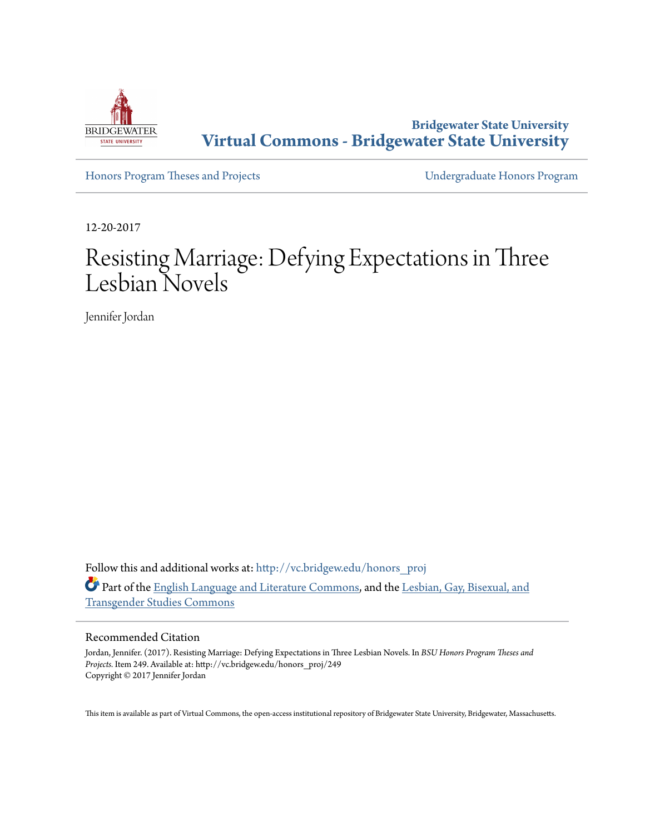

**Bridgewater State University [Virtual Commons - Bridgewater State University](http://vc.bridgew.edu?utm_source=vc.bridgew.edu%2Fhonors_proj%2F249&utm_medium=PDF&utm_campaign=PDFCoverPages)**

[Honors Program Theses and Projects](http://vc.bridgew.edu/honors_proj?utm_source=vc.bridgew.edu%2Fhonors_proj%2F249&utm_medium=PDF&utm_campaign=PDFCoverPages) [Undergraduate Honors Program](http://vc.bridgew.edu/honors?utm_source=vc.bridgew.edu%2Fhonors_proj%2F249&utm_medium=PDF&utm_campaign=PDFCoverPages)

12-20-2017

# Resisting Marriage: Defying Expectations in Three Lesbian Novels

Jennifer Jordan

Follow this and additional works at: [http://vc.bridgew.edu/honors\\_proj](http://vc.bridgew.edu/honors_proj?utm_source=vc.bridgew.edu%2Fhonors_proj%2F249&utm_medium=PDF&utm_campaign=PDFCoverPages) Part of the [English Language and Literature Commons](http://network.bepress.com/hgg/discipline/455?utm_source=vc.bridgew.edu%2Fhonors_proj%2F249&utm_medium=PDF&utm_campaign=PDFCoverPages), and the [Lesbian, Gay, Bisexual, and](http://network.bepress.com/hgg/discipline/560?utm_source=vc.bridgew.edu%2Fhonors_proj%2F249&utm_medium=PDF&utm_campaign=PDFCoverPages) [Transgender Studies Commons](http://network.bepress.com/hgg/discipline/560?utm_source=vc.bridgew.edu%2Fhonors_proj%2F249&utm_medium=PDF&utm_campaign=PDFCoverPages)

#### Recommended Citation

Jordan, Jennifer. (2017). Resisting Marriage: Defying Expectations in Three Lesbian Novels. In *BSU Honors Program Theses and Projects.* Item 249. Available at: http://vc.bridgew.edu/honors\_proj/249 Copyright © 2017 Jennifer Jordan

This item is available as part of Virtual Commons, the open-access institutional repository of Bridgewater State University, Bridgewater, Massachusetts.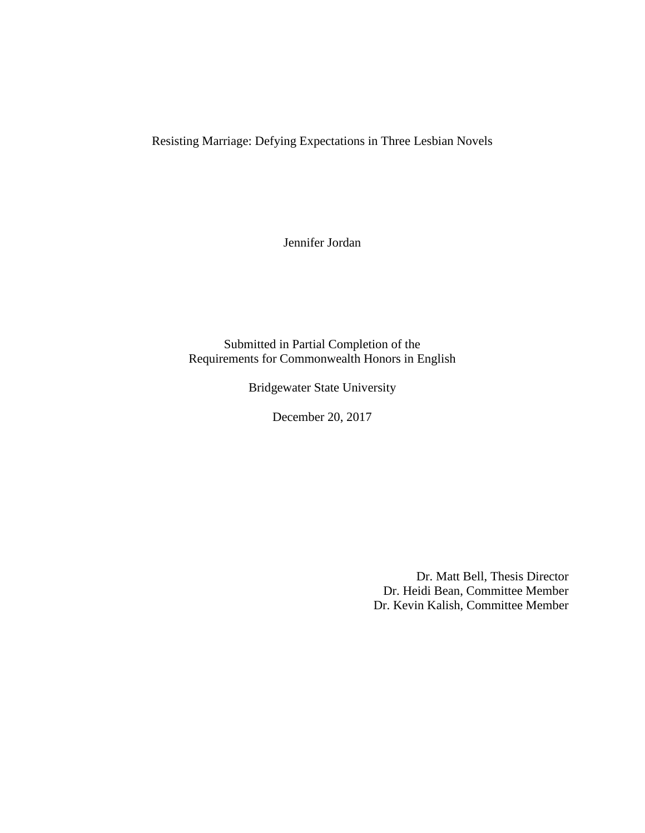Resisting Marriage: Defying Expectations in Three Lesbian Novels

Jennifer Jordan

Submitted in Partial Completion of the Requirements for Commonwealth Honors in English

Bridgewater State University

December 20, 2017

Dr. Matt Bell, Thesis Director Dr. Heidi Bean, Committee Member Dr. Kevin Kalish, Committee Member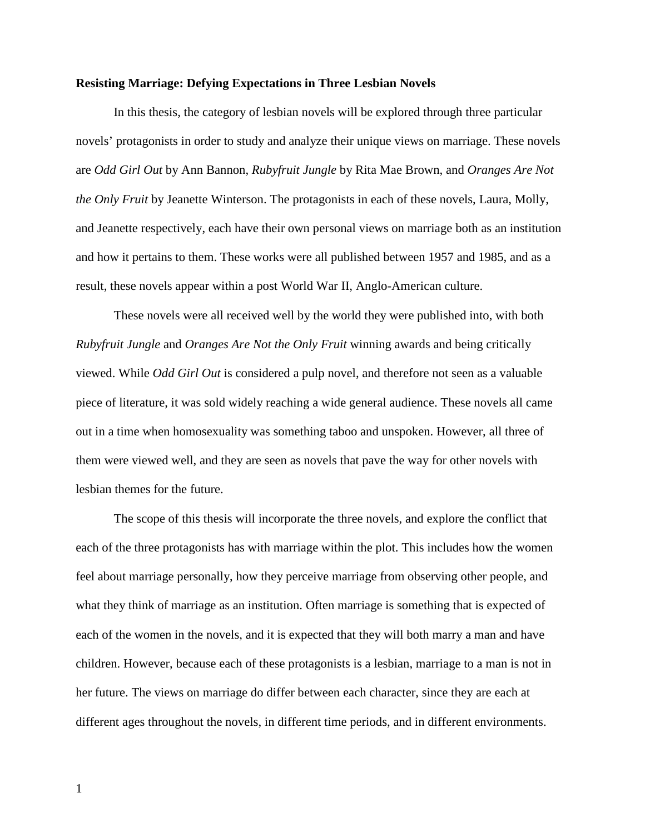#### **Resisting Marriage: Defying Expectations in Three Lesbian Novels**

In this thesis, the category of lesbian novels will be explored through three particular novels' protagonists in order to study and analyze their unique views on marriage. These novels are *Odd Girl Out* by Ann Bannon, *Rubyfruit Jungle* by Rita Mae Brown, and *Oranges Are Not the Only Fruit* by Jeanette Winterson. The protagonists in each of these novels, Laura, Molly, and Jeanette respectively, each have their own personal views on marriage both as an institution and how it pertains to them. These works were all published between 1957 and 1985, and as a result, these novels appear within a post World War II, Anglo-American culture.

These novels were all received well by the world they were published into, with both *Rubyfruit Jungle* and *Oranges Are Not the Only Fruit* winning awards and being critically viewed. While *Odd Girl Out* is considered a pulp novel, and therefore not seen as a valuable piece of literature, it was sold widely reaching a wide general audience. These novels all came out in a time when homosexuality was something taboo and unspoken. However, all three of them were viewed well, and they are seen as novels that pave the way for other novels with lesbian themes for the future.

The scope of this thesis will incorporate the three novels, and explore the conflict that each of the three protagonists has with marriage within the plot. This includes how the women feel about marriage personally, how they perceive marriage from observing other people, and what they think of marriage as an institution. Often marriage is something that is expected of each of the women in the novels, and it is expected that they will both marry a man and have children. However, because each of these protagonists is a lesbian, marriage to a man is not in her future. The views on marriage do differ between each character, since they are each at different ages throughout the novels, in different time periods, and in different environments.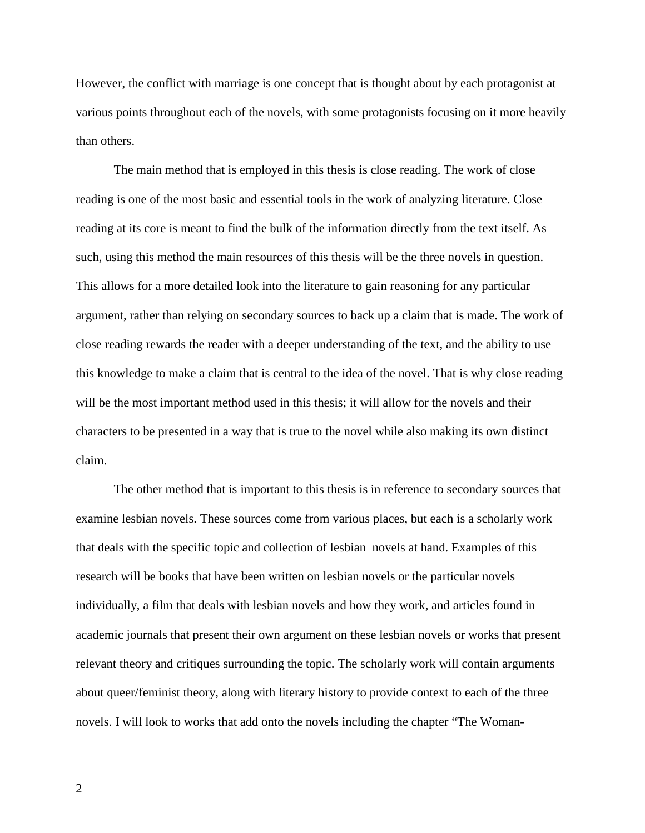However, the conflict with marriage is one concept that is thought about by each protagonist at various points throughout each of the novels, with some protagonists focusing on it more heavily than others.

The main method that is employed in this thesis is close reading. The work of close reading is one of the most basic and essential tools in the work of analyzing literature. Close reading at its core is meant to find the bulk of the information directly from the text itself. As such, using this method the main resources of this thesis will be the three novels in question. This allows for a more detailed look into the literature to gain reasoning for any particular argument, rather than relying on secondary sources to back up a claim that is made. The work of close reading rewards the reader with a deeper understanding of the text, and the ability to use this knowledge to make a claim that is central to the idea of the novel. That is why close reading will be the most important method used in this thesis; it will allow for the novels and their characters to be presented in a way that is true to the novel while also making its own distinct claim.

The other method that is important to this thesis is in reference to secondary sources that examine lesbian novels. These sources come from various places, but each is a scholarly work that deals with the specific topic and collection of lesbian novels at hand. Examples of this research will be books that have been written on lesbian novels or the particular novels individually, a film that deals with lesbian novels and how they work, and articles found in academic journals that present their own argument on these lesbian novels or works that present relevant theory and critiques surrounding the topic. The scholarly work will contain arguments about queer/feminist theory, along with literary history to provide context to each of the three novels. I will look to works that add onto the novels including the chapter "The Woman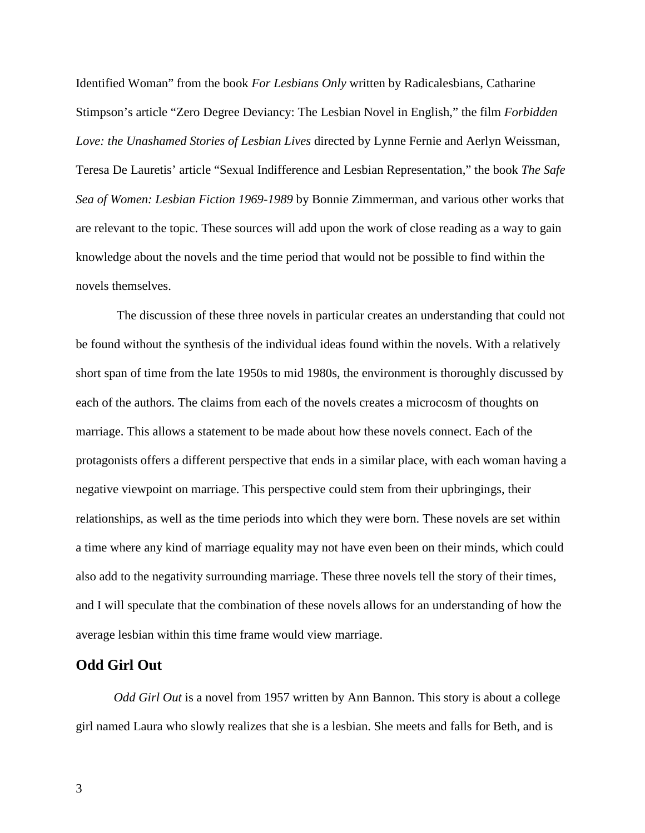Identified Woman" from the book *For Lesbians Only* written by Radicalesbians, Catharine Stimpson's article "Zero Degree Deviancy: The Lesbian Novel in English," the film *Forbidden Love: the Unashamed Stories of Lesbian Lives* directed by Lynne Fernie and Aerlyn Weissman, Teresa De Lauretis' article "Sexual Indifference and Lesbian Representation," the book *The Safe Sea of Women: Lesbian Fiction 1969-1989* by Bonnie Zimmerman, and various other works that are relevant to the topic. These sources will add upon the work of close reading as a way to gain knowledge about the novels and the time period that would not be possible to find within the novels themselves.

The discussion of these three novels in particular creates an understanding that could not be found without the synthesis of the individual ideas found within the novels. With a relatively short span of time from the late 1950s to mid 1980s, the environment is thoroughly discussed by each of the authors. The claims from each of the novels creates a microcosm of thoughts on marriage. This allows a statement to be made about how these novels connect. Each of the protagonists offers a different perspective that ends in a similar place, with each woman having a negative viewpoint on marriage. This perspective could stem from their upbringings, their relationships, as well as the time periods into which they were born. These novels are set within a time where any kind of marriage equality may not have even been on their minds, which could also add to the negativity surrounding marriage. These three novels tell the story of their times, and I will speculate that the combination of these novels allows for an understanding of how the average lesbian within this time frame would view marriage.

## **Odd Girl Out**

*Odd Girl Out* is a novel from 1957 written by Ann Bannon. This story is about a college girl named Laura who slowly realizes that she is a lesbian. She meets and falls for Beth, and is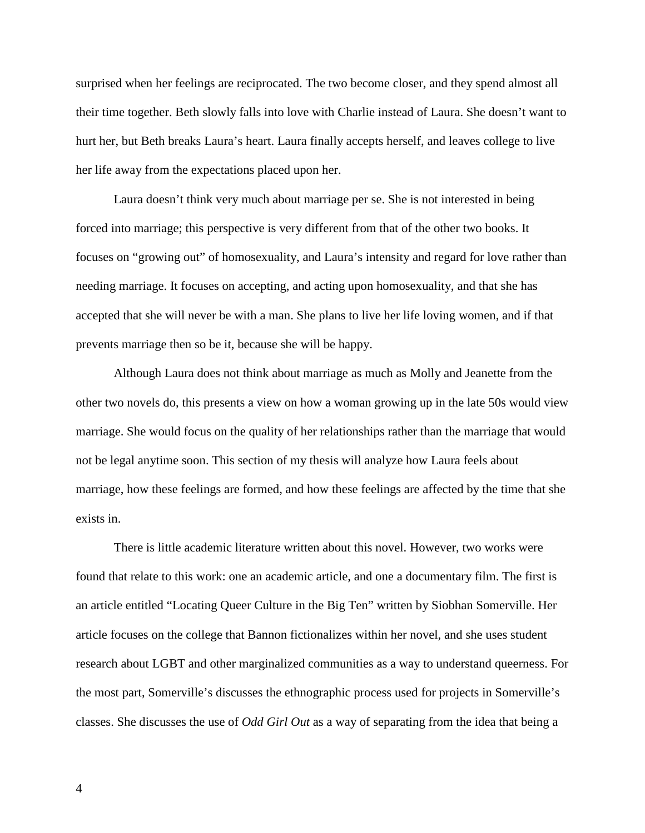surprised when her feelings are reciprocated. The two become closer, and they spend almost all their time together. Beth slowly falls into love with Charlie instead of Laura. She doesn't want to hurt her, but Beth breaks Laura's heart. Laura finally accepts herself, and leaves college to live her life away from the expectations placed upon her.

Laura doesn't think very much about marriage per se. She is not interested in being forced into marriage; this perspective is very different from that of the other two books. It focuses on "growing out" of homosexuality, and Laura's intensity and regard for love rather than needing marriage. It focuses on accepting, and acting upon homosexuality, and that she has accepted that she will never be with a man. She plans to live her life loving women, and if that prevents marriage then so be it, because she will be happy.

Although Laura does not think about marriage as much as Molly and Jeanette from the other two novels do, this presents a view on how a woman growing up in the late 50s would view marriage. She would focus on the quality of her relationships rather than the marriage that would not be legal anytime soon. This section of my thesis will analyze how Laura feels about marriage, how these feelings are formed, and how these feelings are affected by the time that she exists in.

There is little academic literature written about this novel. However, two works were found that relate to this work: one an academic article, and one a documentary film. The first is an article entitled "Locating Queer Culture in the Big Ten" written by Siobhan Somerville. Her article focuses on the college that Bannon fictionalizes within her novel, and she uses student research about LGBT and other marginalized communities as a way to understand queerness. For the most part, Somerville's discusses the ethnographic process used for projects in Somerville's classes. She discusses the use of *Odd Girl Out* as a way of separating from the idea that being a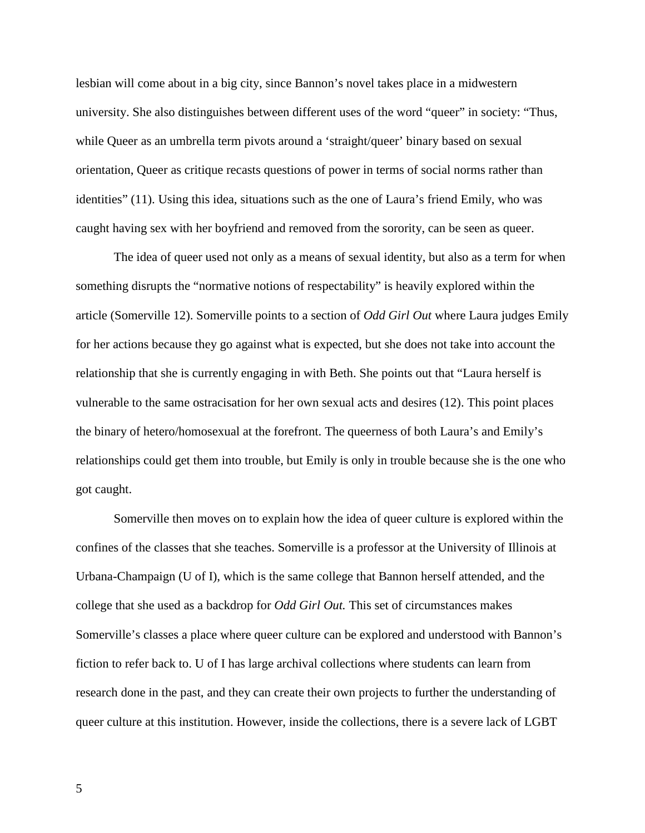lesbian will come about in a big city, since Bannon's novel takes place in a midwestern university. She also distinguishes between different uses of the word "queer" in society: "Thus, while Queer as an umbrella term pivots around a 'straight/queer' binary based on sexual orientation, Queer as critique recasts questions of power in terms of social norms rather than identities" (11). Using this idea, situations such as the one of Laura's friend Emily, who was caught having sex with her boyfriend and removed from the sorority, can be seen as queer.

The idea of queer used not only as a means of sexual identity, but also as a term for when something disrupts the "normative notions of respectability" is heavily explored within the article (Somerville 12). Somerville points to a section of *Odd Girl Out* where Laura judges Emily for her actions because they go against what is expected, but she does not take into account the relationship that she is currently engaging in with Beth. She points out that "Laura herself is vulnerable to the same ostracisation for her own sexual acts and desires (12). This point places the binary of hetero/homosexual at the forefront. The queerness of both Laura's and Emily's relationships could get them into trouble, but Emily is only in trouble because she is the one who got caught.

Somerville then moves on to explain how the idea of queer culture is explored within the confines of the classes that she teaches. Somerville is a professor at the University of Illinois at Urbana-Champaign (U of I), which is the same college that Bannon herself attended, and the college that she used as a backdrop for *Odd Girl Out.* This set of circumstances makes Somerville's classes a place where queer culture can be explored and understood with Bannon's fiction to refer back to. U of I has large archival collections where students can learn from research done in the past, and they can create their own projects to further the understanding of queer culture at this institution. However, inside the collections, there is a severe lack of LGBT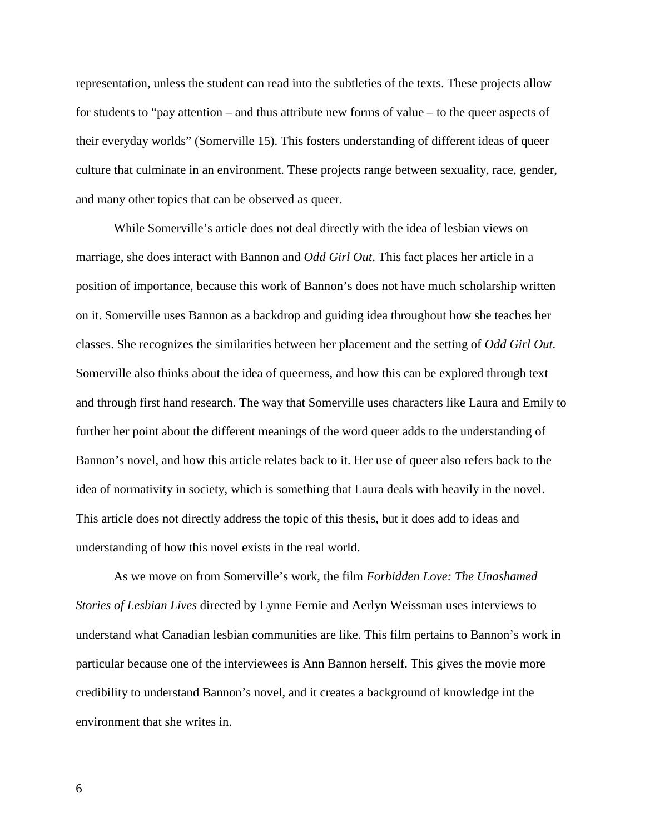representation, unless the student can read into the subtleties of the texts. These projects allow for students to "pay attention – and thus attribute new forms of value – to the queer aspects of their everyday worlds" (Somerville 15). This fosters understanding of different ideas of queer culture that culminate in an environment. These projects range between sexuality, race, gender, and many other topics that can be observed as queer.

While Somerville's article does not deal directly with the idea of lesbian views on marriage, she does interact with Bannon and *Odd Girl Out*. This fact places her article in a position of importance, because this work of Bannon's does not have much scholarship written on it. Somerville uses Bannon as a backdrop and guiding idea throughout how she teaches her classes. She recognizes the similarities between her placement and the setting of *Odd Girl Out.* Somerville also thinks about the idea of queerness, and how this can be explored through text and through first hand research. The way that Somerville uses characters like Laura and Emily to further her point about the different meanings of the word queer adds to the understanding of Bannon's novel, and how this article relates back to it. Her use of queer also refers back to the idea of normativity in society, which is something that Laura deals with heavily in the novel. This article does not directly address the topic of this thesis, but it does add to ideas and understanding of how this novel exists in the real world.

As we move on from Somerville's work, the film *Forbidden Love: The Unashamed Stories of Lesbian Lives* directed by Lynne Fernie and Aerlyn Weissman uses interviews to understand what Canadian lesbian communities are like. This film pertains to Bannon's work in particular because one of the interviewees is Ann Bannon herself. This gives the movie more credibility to understand Bannon's novel, and it creates a background of knowledge int the environment that she writes in.

6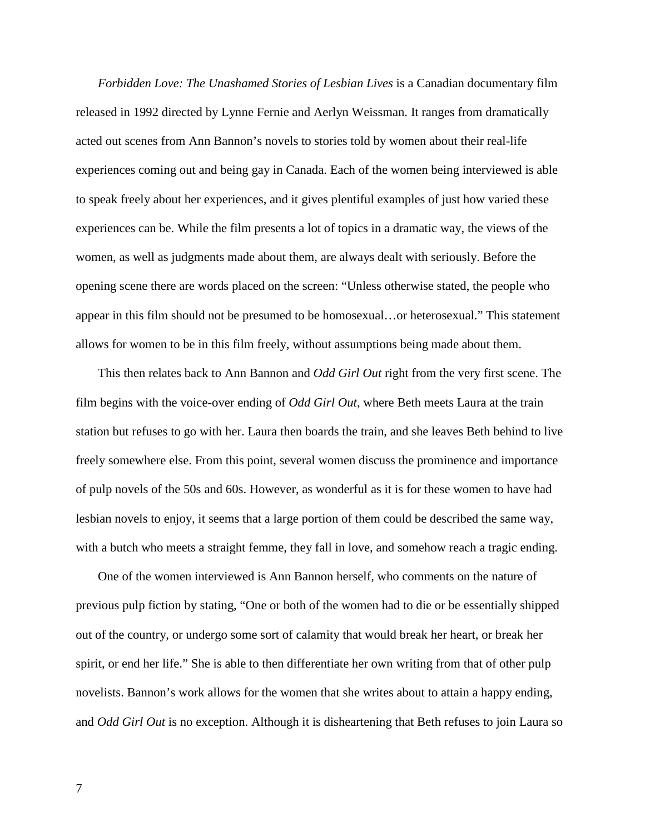*Forbidden Love: The Unashamed Stories of Lesbian Lives* is a Canadian documentary film released in 1992 directed by Lynne Fernie and Aerlyn Weissman. It ranges from dramatically acted out scenes from Ann Bannon's novels to stories told by women about their real-life experiences coming out and being gay in Canada. Each of the women being interviewed is able to speak freely about her experiences, and it gives plentiful examples of just how varied these experiences can be. While the film presents a lot of topics in a dramatic way, the views of the women, as well as judgments made about them, are always dealt with seriously. Before the opening scene there are words placed on the screen: "Unless otherwise stated, the people who appear in this film should not be presumed to be homosexual…or heterosexual." This statement allows for women to be in this film freely, without assumptions being made about them.

This then relates back to Ann Bannon and *Odd Girl Out* right from the very first scene. The film begins with the voice-over ending of *Odd Girl Out*, where Beth meets Laura at the train station but refuses to go with her. Laura then boards the train, and she leaves Beth behind to live freely somewhere else. From this point, several women discuss the prominence and importance of pulp novels of the 50s and 60s. However, as wonderful as it is for these women to have had lesbian novels to enjoy, it seems that a large portion of them could be described the same way, with a butch who meets a straight femme, they fall in love, and somehow reach a tragic ending.

One of the women interviewed is Ann Bannon herself, who comments on the nature of previous pulp fiction by stating, "One or both of the women had to die or be essentially shipped out of the country, or undergo some sort of calamity that would break her heart, or break her spirit, or end her life." She is able to then differentiate her own writing from that of other pulp novelists. Bannon's work allows for the women that she writes about to attain a happy ending, and *Odd Girl Out* is no exception. Although it is disheartening that Beth refuses to join Laura so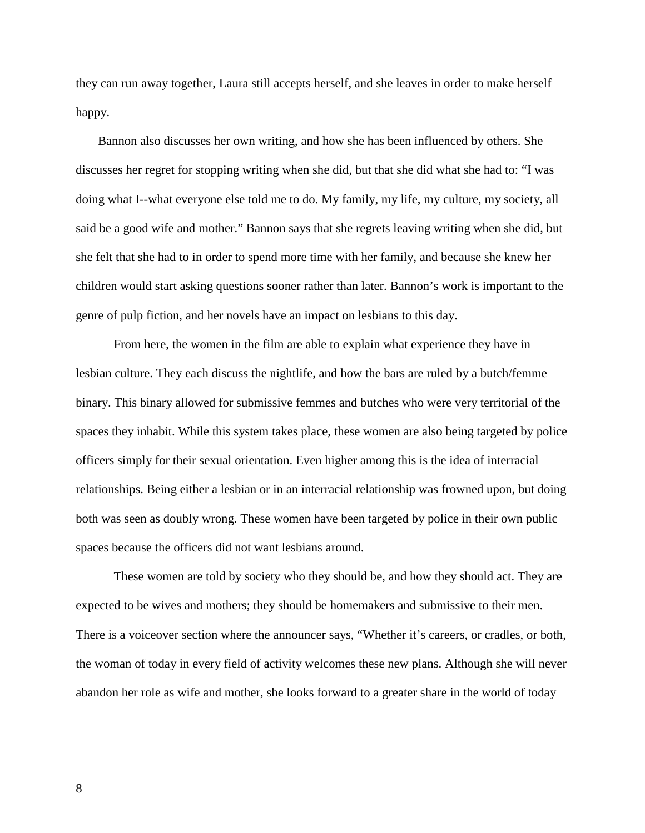they can run away together, Laura still accepts herself, and she leaves in order to make herself happy.

Bannon also discusses her own writing, and how she has been influenced by others. She discusses her regret for stopping writing when she did, but that she did what she had to: "I was doing what I--what everyone else told me to do. My family, my life, my culture, my society, all said be a good wife and mother." Bannon says that she regrets leaving writing when she did, but she felt that she had to in order to spend more time with her family, and because she knew her children would start asking questions sooner rather than later. Bannon's work is important to the genre of pulp fiction, and her novels have an impact on lesbians to this day.

From here, the women in the film are able to explain what experience they have in lesbian culture. They each discuss the nightlife, and how the bars are ruled by a butch/femme binary. This binary allowed for submissive femmes and butches who were very territorial of the spaces they inhabit. While this system takes place, these women are also being targeted by police officers simply for their sexual orientation. Even higher among this is the idea of interracial relationships. Being either a lesbian or in an interracial relationship was frowned upon, but doing both was seen as doubly wrong. These women have been targeted by police in their own public spaces because the officers did not want lesbians around.

These women are told by society who they should be, and how they should act. They are expected to be wives and mothers; they should be homemakers and submissive to their men. There is a voiceover section where the announcer says, "Whether it's careers, or cradles, or both, the woman of today in every field of activity welcomes these new plans. Although she will never abandon her role as wife and mother, she looks forward to a greater share in the world of today

8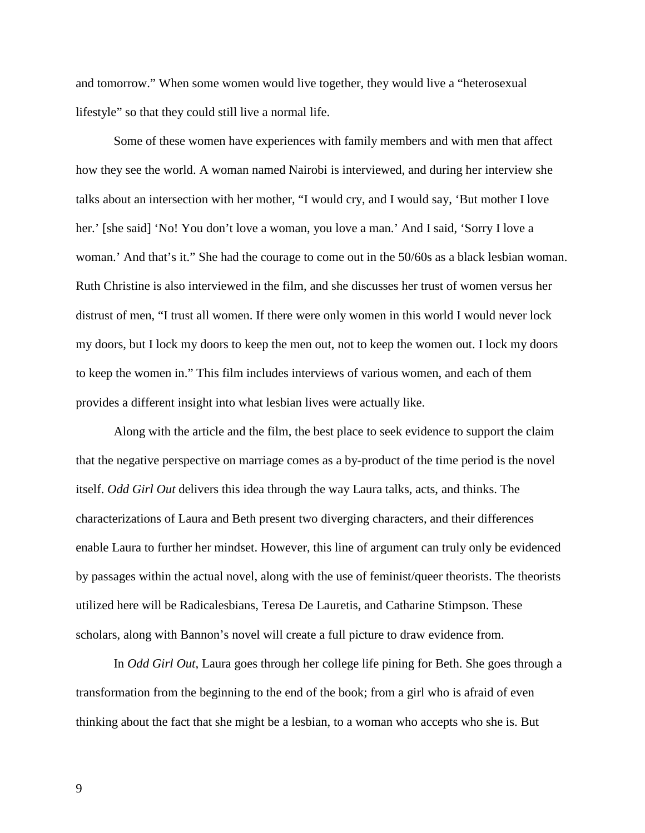and tomorrow." When some women would live together, they would live a "heterosexual lifestyle" so that they could still live a normal life.

Some of these women have experiences with family members and with men that affect how they see the world. A woman named Nairobi is interviewed, and during her interview she talks about an intersection with her mother, "I would cry, and I would say, 'But mother I love her.' [she said] 'No! You don't love a woman, you love a man.' And I said, 'Sorry I love a woman.' And that's it." She had the courage to come out in the 50/60s as a black lesbian woman. Ruth Christine is also interviewed in the film, and she discusses her trust of women versus her distrust of men, "I trust all women. If there were only women in this world I would never lock my doors, but I lock my doors to keep the men out, not to keep the women out. I lock my doors to keep the women in." This film includes interviews of various women, and each of them provides a different insight into what lesbian lives were actually like.

Along with the article and the film, the best place to seek evidence to support the claim that the negative perspective on marriage comes as a by-product of the time period is the novel itself. *Odd Girl Out* delivers this idea through the way Laura talks, acts, and thinks. The characterizations of Laura and Beth present two diverging characters, and their differences enable Laura to further her mindset. However, this line of argument can truly only be evidenced by passages within the actual novel, along with the use of feminist/queer theorists. The theorists utilized here will be Radicalesbians, Teresa De Lauretis, and Catharine Stimpson. These scholars, along with Bannon's novel will create a full picture to draw evidence from.

In *Odd Girl Out*, Laura goes through her college life pining for Beth. She goes through a transformation from the beginning to the end of the book; from a girl who is afraid of even thinking about the fact that she might be a lesbian, to a woman who accepts who she is. But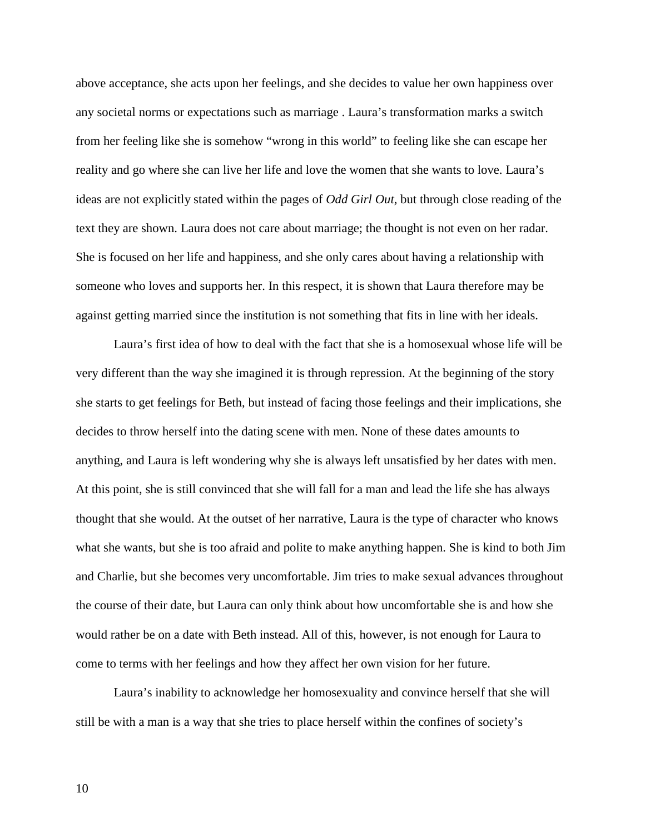above acceptance, she acts upon her feelings, and she decides to value her own happiness over any societal norms or expectations such as marriage . Laura's transformation marks a switch from her feeling like she is somehow "wrong in this world" to feeling like she can escape her reality and go where she can live her life and love the women that she wants to love. Laura's ideas are not explicitly stated within the pages of *Odd Girl Out*, but through close reading of the text they are shown. Laura does not care about marriage; the thought is not even on her radar. She is focused on her life and happiness, and she only cares about having a relationship with someone who loves and supports her. In this respect, it is shown that Laura therefore may be against getting married since the institution is not something that fits in line with her ideals.

Laura's first idea of how to deal with the fact that she is a homosexual whose life will be very different than the way she imagined it is through repression. At the beginning of the story she starts to get feelings for Beth, but instead of facing those feelings and their implications, she decides to throw herself into the dating scene with men. None of these dates amounts to anything, and Laura is left wondering why she is always left unsatisfied by her dates with men. At this point, she is still convinced that she will fall for a man and lead the life she has always thought that she would. At the outset of her narrative, Laura is the type of character who knows what she wants, but she is too afraid and polite to make anything happen. She is kind to both Jim and Charlie, but she becomes very uncomfortable. Jim tries to make sexual advances throughout the course of their date, but Laura can only think about how uncomfortable she is and how she would rather be on a date with Beth instead. All of this, however, is not enough for Laura to come to terms with her feelings and how they affect her own vision for her future.

Laura's inability to acknowledge her homosexuality and convince herself that she will still be with a man is a way that she tries to place herself within the confines of society's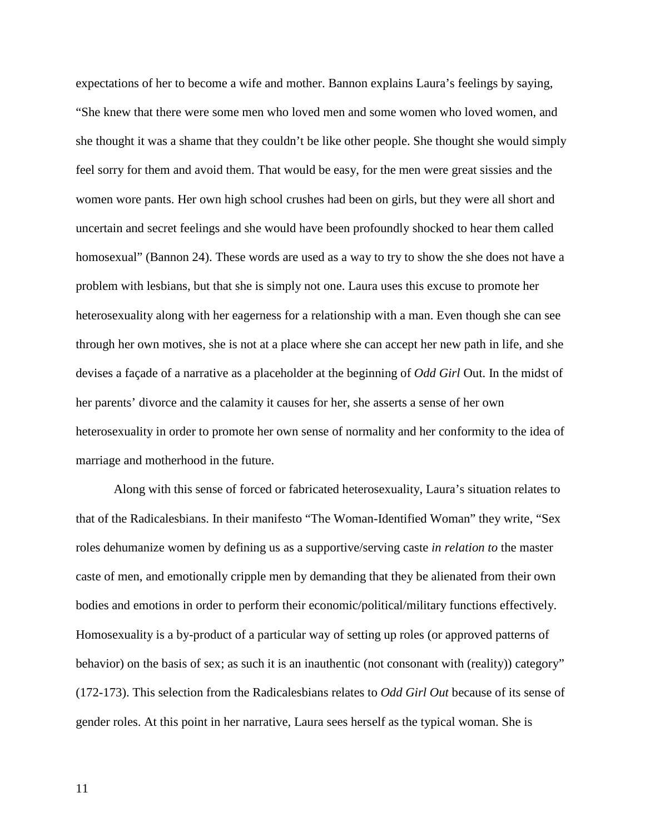expectations of her to become a wife and mother. Bannon explains Laura's feelings by saying, "She knew that there were some men who loved men and some women who loved women, and she thought it was a shame that they couldn't be like other people. She thought she would simply feel sorry for them and avoid them. That would be easy, for the men were great sissies and the women wore pants. Her own high school crushes had been on girls, but they were all short and uncertain and secret feelings and she would have been profoundly shocked to hear them called homosexual" (Bannon 24). These words are used as a way to try to show the she does not have a problem with lesbians, but that she is simply not one. Laura uses this excuse to promote her heterosexuality along with her eagerness for a relationship with a man. Even though she can see through her own motives, she is not at a place where she can accept her new path in life, and she devises a façade of a narrative as a placeholder at the beginning of *Odd Girl* Out. In the midst of her parents' divorce and the calamity it causes for her, she asserts a sense of her own heterosexuality in order to promote her own sense of normality and her conformity to the idea of marriage and motherhood in the future.

Along with this sense of forced or fabricated heterosexuality, Laura's situation relates to that of the Radicalesbians. In their manifesto "The Woman-Identified Woman" they write, "Sex roles dehumanize women by defining us as a supportive/serving caste *in relation to* the master caste of men, and emotionally cripple men by demanding that they be alienated from their own bodies and emotions in order to perform their economic/political/military functions effectively. Homosexuality is a by-product of a particular way of setting up roles (or approved patterns of behavior) on the basis of sex; as such it is an inauthentic (not consonant with (reality)) category" (172-173). This selection from the Radicalesbians relates to *Odd Girl Out* because of its sense of gender roles. At this point in her narrative, Laura sees herself as the typical woman. She is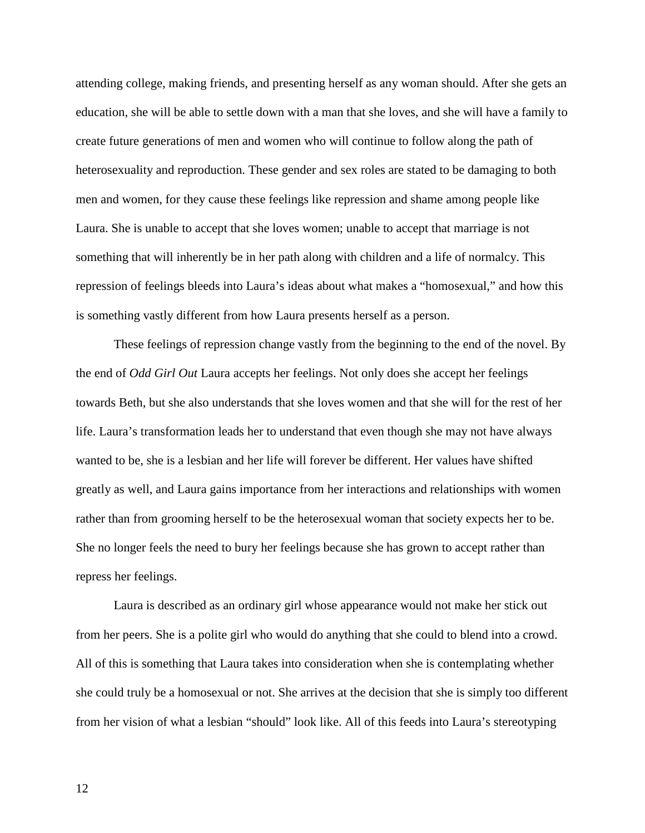attending college, making friends, and presenting herself as any woman should. After she gets an education, she will be able to settle down with a man that she loves, and she will have a family to create future generations of men and women who will continue to follow along the path of heterosexuality and reproduction. These gender and sex roles are stated to be damaging to both men and women, for they cause these feelings like repression and shame among people like Laura. She is unable to accept that she loves women; unable to accept that marriage is not something that will inherently be in her path along with children and a life of normalcy. This repression of feelings bleeds into Laura's ideas about what makes a "homosexual," and how this is something vastly different from how Laura presents herself as a person.

These feelings of repression change vastly from the beginning to the end of the novel. By the end of *Odd Girl Out* Laura accepts her feelings. Not only does she accept her feelings towards Beth, but she also understands that she loves women and that she will for the rest of her life. Laura's transformation leads her to understand that even though she may not have always wanted to be, she is a lesbian and her life will forever be different. Her values have shifted greatly as well, and Laura gains importance from her interactions and relationships with women rather than from grooming herself to be the heterosexual woman that society expects her to be. She no longer feels the need to bury her feelings because she has grown to accept rather than repress her feelings.

Laura is described as an ordinary girl whose appearance would not make her stick out from her peers. She is a polite girl who would do anything that she could to blend into a crowd. All of this is something that Laura takes into consideration when she is contemplating whether she could truly be a homosexual or not. She arrives at the decision that she is simply too different from her vision of what a lesbian "should" look like. All of this feeds into Laura's stereotyping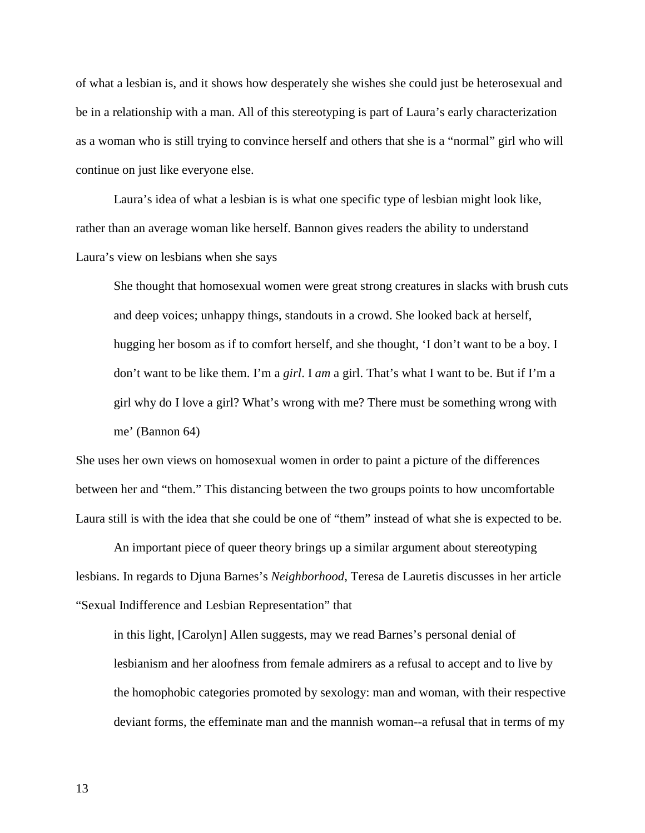of what a lesbian is, and it shows how desperately she wishes she could just be heterosexual and be in a relationship with a man. All of this stereotyping is part of Laura's early characterization as a woman who is still trying to convince herself and others that she is a "normal" girl who will continue on just like everyone else.

Laura's idea of what a lesbian is is what one specific type of lesbian might look like, rather than an average woman like herself. Bannon gives readers the ability to understand Laura's view on lesbians when she says

She thought that homosexual women were great strong creatures in slacks with brush cuts and deep voices; unhappy things, standouts in a crowd. She looked back at herself, hugging her bosom as if to comfort herself, and she thought, 'I don't want to be a boy. I don't want to be like them. I'm a *girl*. I *am* a girl. That's what I want to be. But if I'm a girl why do I love a girl? What's wrong with me? There must be something wrong with me' (Bannon 64)

She uses her own views on homosexual women in order to paint a picture of the differences between her and "them." This distancing between the two groups points to how uncomfortable Laura still is with the idea that she could be one of "them" instead of what she is expected to be.

An important piece of queer theory brings up a similar argument about stereotyping lesbians. In regards to Djuna Barnes's *Neighborhood*, Teresa de Lauretis discusses in her article "Sexual Indifference and Lesbian Representation" that

in this light, [Carolyn] Allen suggests, may we read Barnes's personal denial of lesbianism and her aloofness from female admirers as a refusal to accept and to live by the homophobic categories promoted by sexology: man and woman, with their respective deviant forms, the effeminate man and the mannish woman--a refusal that in terms of my

13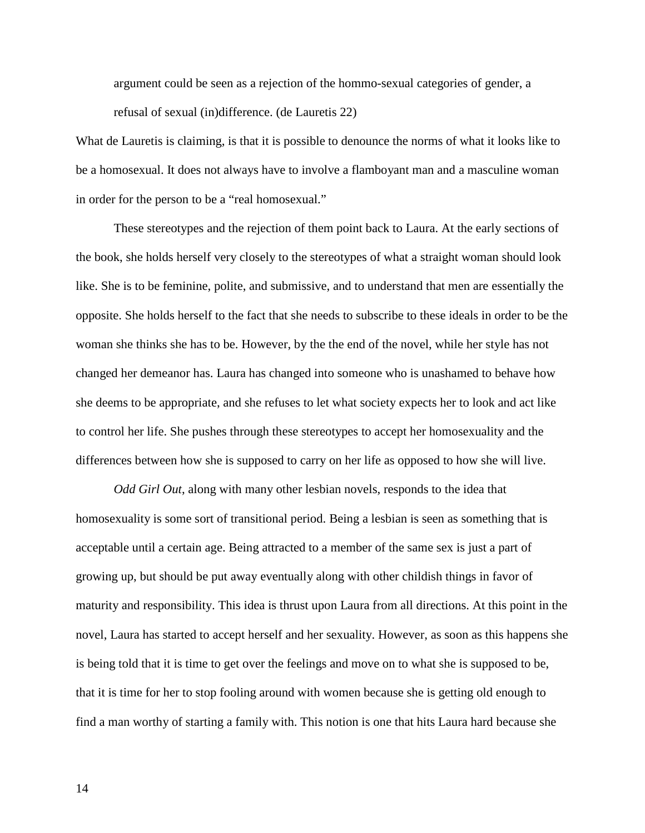argument could be seen as a rejection of the hommo-sexual categories of gender, a refusal of sexual (in)difference. (de Lauretis 22)

What de Lauretis is claiming, is that it is possible to denounce the norms of what it looks like to be a homosexual. It does not always have to involve a flamboyant man and a masculine woman in order for the person to be a "real homosexual."

These stereotypes and the rejection of them point back to Laura. At the early sections of the book, she holds herself very closely to the stereotypes of what a straight woman should look like. She is to be feminine, polite, and submissive, and to understand that men are essentially the opposite. She holds herself to the fact that she needs to subscribe to these ideals in order to be the woman she thinks she has to be. However, by the the end of the novel, while her style has not changed her demeanor has. Laura has changed into someone who is unashamed to behave how she deems to be appropriate, and she refuses to let what society expects her to look and act like to control her life. She pushes through these stereotypes to accept her homosexuality and the differences between how she is supposed to carry on her life as opposed to how she will live.

*Odd Girl Out*, along with many other lesbian novels, responds to the idea that homosexuality is some sort of transitional period. Being a lesbian is seen as something that is acceptable until a certain age. Being attracted to a member of the same sex is just a part of growing up, but should be put away eventually along with other childish things in favor of maturity and responsibility. This idea is thrust upon Laura from all directions. At this point in the novel, Laura has started to accept herself and her sexuality. However, as soon as this happens she is being told that it is time to get over the feelings and move on to what she is supposed to be, that it is time for her to stop fooling around with women because she is getting old enough to find a man worthy of starting a family with. This notion is one that hits Laura hard because she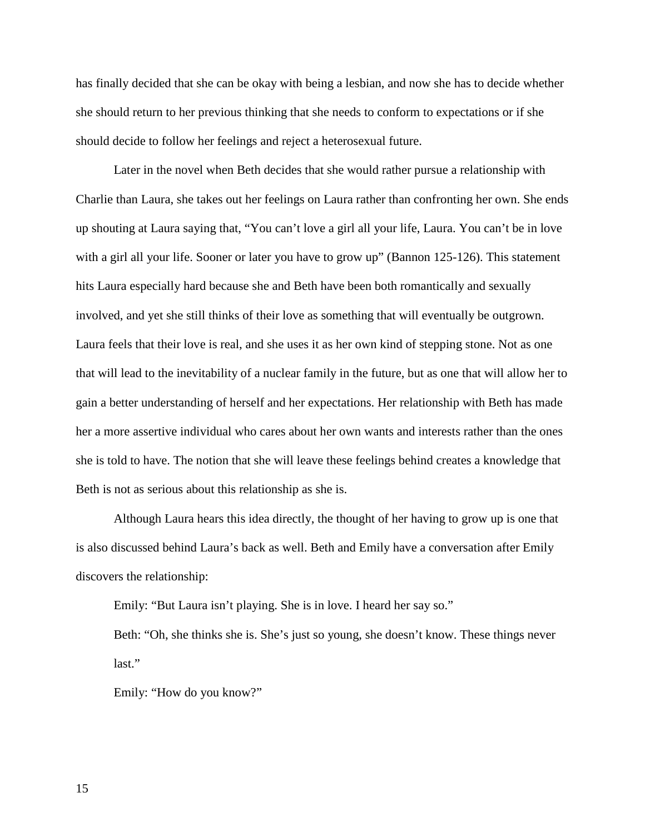has finally decided that she can be okay with being a lesbian, and now she has to decide whether she should return to her previous thinking that she needs to conform to expectations or if she should decide to follow her feelings and reject a heterosexual future.

Later in the novel when Beth decides that she would rather pursue a relationship with Charlie than Laura, she takes out her feelings on Laura rather than confronting her own. She ends up shouting at Laura saying that, "You can't love a girl all your life, Laura. You can't be in love with a girl all your life. Sooner or later you have to grow up" (Bannon 125-126). This statement hits Laura especially hard because she and Beth have been both romantically and sexually involved, and yet she still thinks of their love as something that will eventually be outgrown. Laura feels that their love is real, and she uses it as her own kind of stepping stone. Not as one that will lead to the inevitability of a nuclear family in the future, but as one that will allow her to gain a better understanding of herself and her expectations. Her relationship with Beth has made her a more assertive individual who cares about her own wants and interests rather than the ones she is told to have. The notion that she will leave these feelings behind creates a knowledge that Beth is not as serious about this relationship as she is.

Although Laura hears this idea directly, the thought of her having to grow up is one that is also discussed behind Laura's back as well. Beth and Emily have a conversation after Emily discovers the relationship:

Emily: "But Laura isn't playing. She is in love. I heard her say so."

Beth: "Oh, she thinks she is. She's just so young, she doesn't know. These things never last."

Emily: "How do you know?"

15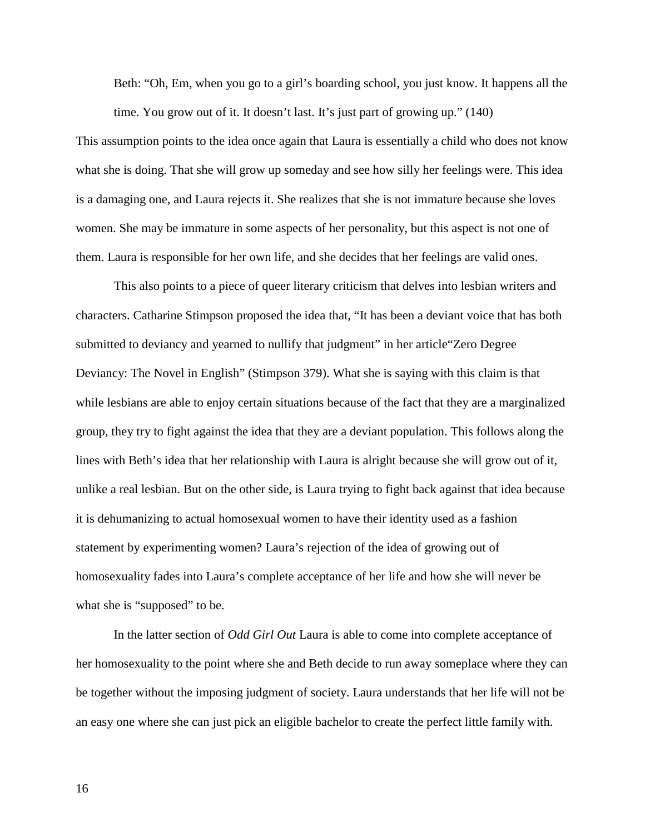Beth: "Oh, Em, when you go to a girl's boarding school, you just know. It happens all the time. You grow out of it. It doesn't last. It's just part of growing up." (140)

This assumption points to the idea once again that Laura is essentially a child who does not know what she is doing. That she will grow up someday and see how silly her feelings were. This idea is a damaging one, and Laura rejects it. She realizes that she is not immature because she loves women. She may be immature in some aspects of her personality, but this aspect is not one of them. Laura is responsible for her own life, and she decides that her feelings are valid ones.

This also points to a piece of queer literary criticism that delves into lesbian writers and characters. Catharine Stimpson proposed the idea that, "It has been a deviant voice that has both submitted to deviancy and yearned to nullify that judgment" in her article"Zero Degree Deviancy: The Novel in English" (Stimpson 379). What she is saying with this claim is that while lesbians are able to enjoy certain situations because of the fact that they are a marginalized group, they try to fight against the idea that they are a deviant population. This follows along the lines with Beth's idea that her relationship with Laura is alright because she will grow out of it, unlike a real lesbian. But on the other side, is Laura trying to fight back against that idea because it is dehumanizing to actual homosexual women to have their identity used as a fashion statement by experimenting women? Laura's rejection of the idea of growing out of homosexuality fades into Laura's complete acceptance of her life and how she will never be what she is "supposed" to be.

In the latter section of *Odd Girl Out* Laura is able to come into complete acceptance of her homosexuality to the point where she and Beth decide to run away someplace where they can be together without the imposing judgment of society. Laura understands that her life will not be an easy one where she can just pick an eligible bachelor to create the perfect little family with.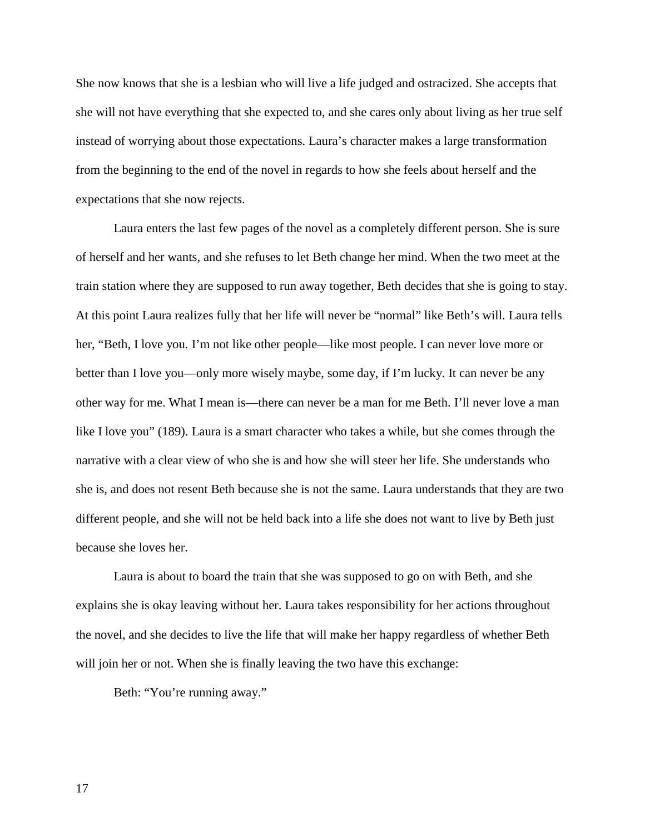She now knows that she is a lesbian who will live a life judged and ostracized. She accepts that she will not have everything that she expected to, and she cares only about living as her true self instead of worrying about those expectations. Laura's character makes a large transformation from the beginning to the end of the novel in regards to how she feels about herself and the expectations that she now rejects.

Laura enters the last few pages of the novel as a completely different person. She is sure of herself and her wants, and she refuses to let Beth change her mind. When the two meet at the train station where they are supposed to run away together, Beth decides that she is going to stay. At this point Laura realizes fully that her life will never be "normal" like Beth's will. Laura tells her, "Beth, I love you. I'm not like other people—like most people. I can never love more or better than I love you—only more wisely maybe, some day, if I'm lucky. It can never be any other way for me. What I mean is—there can never be a man for me Beth. I'll never love a man like I love you" (189). Laura is a smart character who takes a while, but she comes through the narrative with a clear view of who she is and how she will steer her life. She understands who she is, and does not resent Beth because she is not the same. Laura understands that they are two different people, and she will not be held back into a life she does not want to live by Beth just because she loves her.

Laura is about to board the train that she was supposed to go on with Beth, and she explains she is okay leaving without her. Laura takes responsibility for her actions throughout the novel, and she decides to live the life that will make her happy regardless of whether Beth will join her or not. When she is finally leaving the two have this exchange:

Beth: "You're running away."

17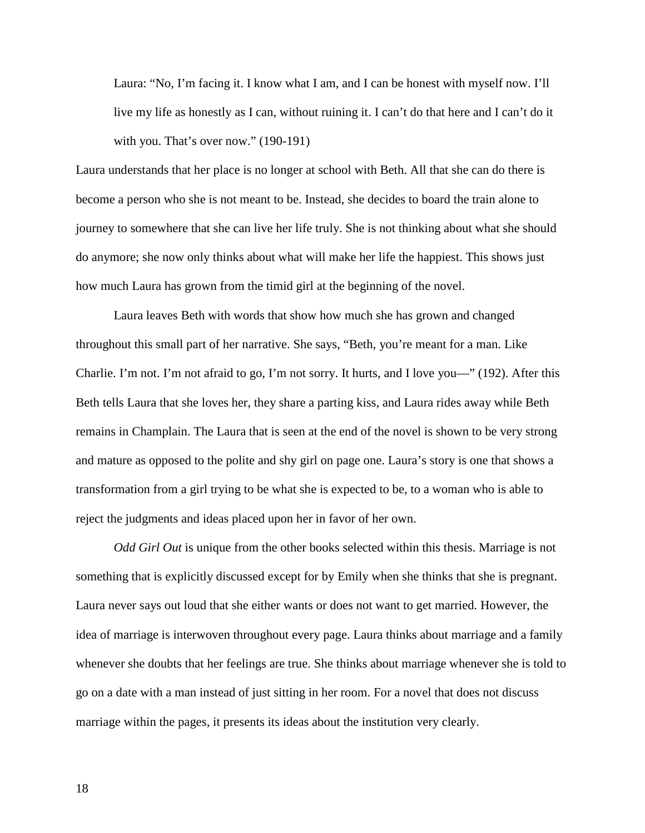Laura: "No, I'm facing it. I know what I am, and I can be honest with myself now. I'll live my life as honestly as I can, without ruining it. I can't do that here and I can't do it with you. That's over now." (190-191)

Laura understands that her place is no longer at school with Beth. All that she can do there is become a person who she is not meant to be. Instead, she decides to board the train alone to journey to somewhere that she can live her life truly. She is not thinking about what she should do anymore; she now only thinks about what will make her life the happiest. This shows just how much Laura has grown from the timid girl at the beginning of the novel.

Laura leaves Beth with words that show how much she has grown and changed throughout this small part of her narrative. She says, "Beth, you're meant for a man. Like Charlie. I'm not. I'm not afraid to go, I'm not sorry. It hurts, and I love you—" (192). After this Beth tells Laura that she loves her, they share a parting kiss, and Laura rides away while Beth remains in Champlain. The Laura that is seen at the end of the novel is shown to be very strong and mature as opposed to the polite and shy girl on page one. Laura's story is one that shows a transformation from a girl trying to be what she is expected to be, to a woman who is able to reject the judgments and ideas placed upon her in favor of her own.

*Odd Girl Out* is unique from the other books selected within this thesis. Marriage is not something that is explicitly discussed except for by Emily when she thinks that she is pregnant. Laura never says out loud that she either wants or does not want to get married. However, the idea of marriage is interwoven throughout every page. Laura thinks about marriage and a family whenever she doubts that her feelings are true. She thinks about marriage whenever she is told to go on a date with a man instead of just sitting in her room. For a novel that does not discuss marriage within the pages, it presents its ideas about the institution very clearly.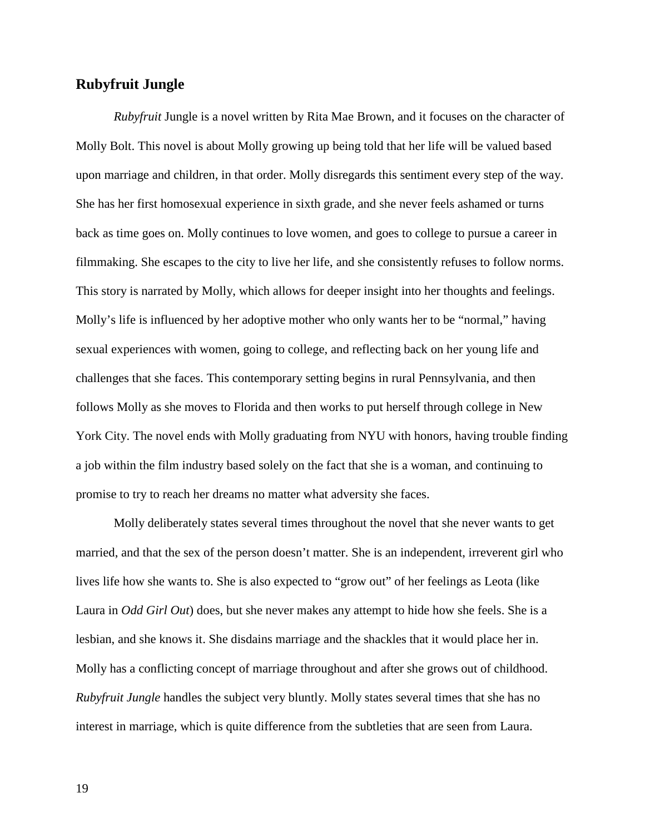# **Rubyfruit Jungle**

*Rubyfruit* Jungle is a novel written by Rita Mae Brown, and it focuses on the character of Molly Bolt. This novel is about Molly growing up being told that her life will be valued based upon marriage and children, in that order. Molly disregards this sentiment every step of the way. She has her first homosexual experience in sixth grade, and she never feels ashamed or turns back as time goes on. Molly continues to love women, and goes to college to pursue a career in filmmaking. She escapes to the city to live her life, and she consistently refuses to follow norms. This story is narrated by Molly, which allows for deeper insight into her thoughts and feelings. Molly's life is influenced by her adoptive mother who only wants her to be "normal," having sexual experiences with women, going to college, and reflecting back on her young life and challenges that she faces. This contemporary setting begins in rural Pennsylvania, and then follows Molly as she moves to Florida and then works to put herself through college in New York City. The novel ends with Molly graduating from NYU with honors, having trouble finding a job within the film industry based solely on the fact that she is a woman, and continuing to promise to try to reach her dreams no matter what adversity she faces.

Molly deliberately states several times throughout the novel that she never wants to get married, and that the sex of the person doesn't matter. She is an independent, irreverent girl who lives life how she wants to. She is also expected to "grow out" of her feelings as Leota (like Laura in *Odd Girl Out*) does, but she never makes any attempt to hide how she feels. She is a lesbian, and she knows it. She disdains marriage and the shackles that it would place her in. Molly has a conflicting concept of marriage throughout and after she grows out of childhood. *Rubyfruit Jungle* handles the subject very bluntly. Molly states several times that she has no interest in marriage, which is quite difference from the subtleties that are seen from Laura.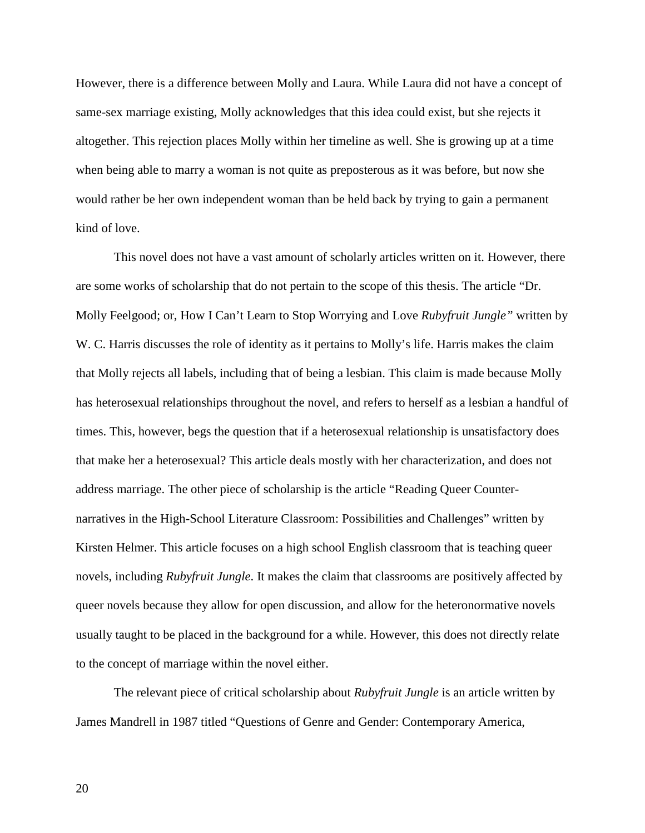However, there is a difference between Molly and Laura. While Laura did not have a concept of same-sex marriage existing, Molly acknowledges that this idea could exist, but she rejects it altogether. This rejection places Molly within her timeline as well. She is growing up at a time when being able to marry a woman is not quite as preposterous as it was before, but now she would rather be her own independent woman than be held back by trying to gain a permanent kind of love.

This novel does not have a vast amount of scholarly articles written on it. However, there are some works of scholarship that do not pertain to the scope of this thesis. The article "Dr. Molly Feelgood; or, How I Can't Learn to Stop Worrying and Love *Rubyfruit Jungle"* written by W. C. Harris discusses the role of identity as it pertains to Molly's life. Harris makes the claim that Molly rejects all labels, including that of being a lesbian. This claim is made because Molly has heterosexual relationships throughout the novel, and refers to herself as a lesbian a handful of times. This, however, begs the question that if a heterosexual relationship is unsatisfactory does that make her a heterosexual? This article deals mostly with her characterization, and does not address marriage. The other piece of scholarship is the article "Reading Queer Counternarratives in the High-School Literature Classroom: Possibilities and Challenges" written by Kirsten Helmer. This article focuses on a high school English classroom that is teaching queer novels, including *Rubyfruit Jungle*. It makes the claim that classrooms are positively affected by queer novels because they allow for open discussion, and allow for the heteronormative novels usually taught to be placed in the background for a while. However, this does not directly relate to the concept of marriage within the novel either.

The relevant piece of critical scholarship about *Rubyfruit Jungle* is an article written by James Mandrell in 1987 titled "Questions of Genre and Gender: Contemporary America,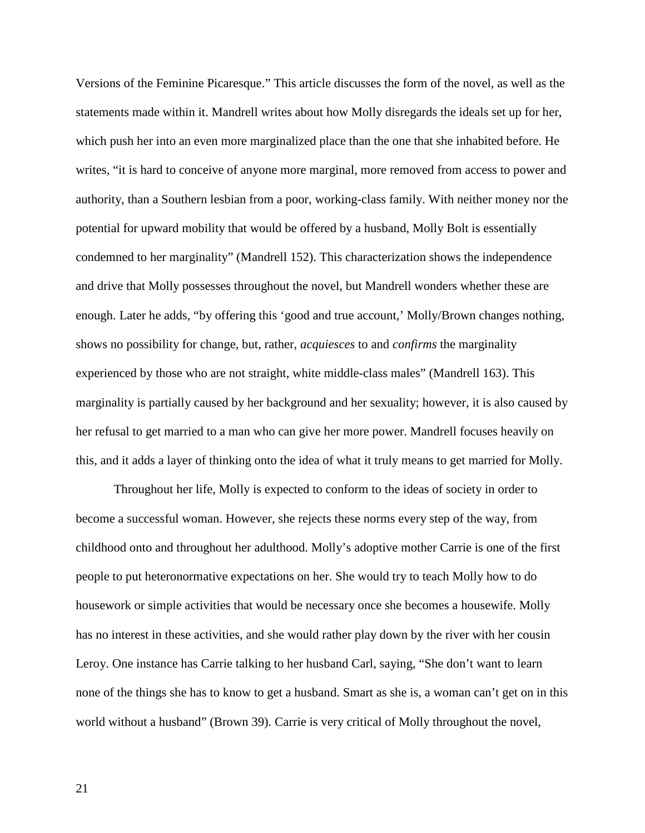Versions of the Feminine Picaresque." This article discusses the form of the novel, as well as the statements made within it. Mandrell writes about how Molly disregards the ideals set up for her, which push her into an even more marginalized place than the one that she inhabited before. He writes, "it is hard to conceive of anyone more marginal, more removed from access to power and authority, than a Southern lesbian from a poor, working-class family. With neither money nor the potential for upward mobility that would be offered by a husband, Molly Bolt is essentially condemned to her marginality" (Mandrell 152). This characterization shows the independence and drive that Molly possesses throughout the novel, but Mandrell wonders whether these are enough. Later he adds, "by offering this 'good and true account,' Molly/Brown changes nothing, shows no possibility for change, but, rather, *acquiesces* to and *confirms* the marginality experienced by those who are not straight, white middle-class males" (Mandrell 163). This marginality is partially caused by her background and her sexuality; however, it is also caused by her refusal to get married to a man who can give her more power. Mandrell focuses heavily on this, and it adds a layer of thinking onto the idea of what it truly means to get married for Molly.

Throughout her life, Molly is expected to conform to the ideas of society in order to become a successful woman. However, she rejects these norms every step of the way, from childhood onto and throughout her adulthood. Molly's adoptive mother Carrie is one of the first people to put heteronormative expectations on her. She would try to teach Molly how to do housework or simple activities that would be necessary once she becomes a housewife. Molly has no interest in these activities, and she would rather play down by the river with her cousin Leroy. One instance has Carrie talking to her husband Carl, saying, "She don't want to learn none of the things she has to know to get a husband. Smart as she is, a woman can't get on in this world without a husband" (Brown 39). Carrie is very critical of Molly throughout the novel,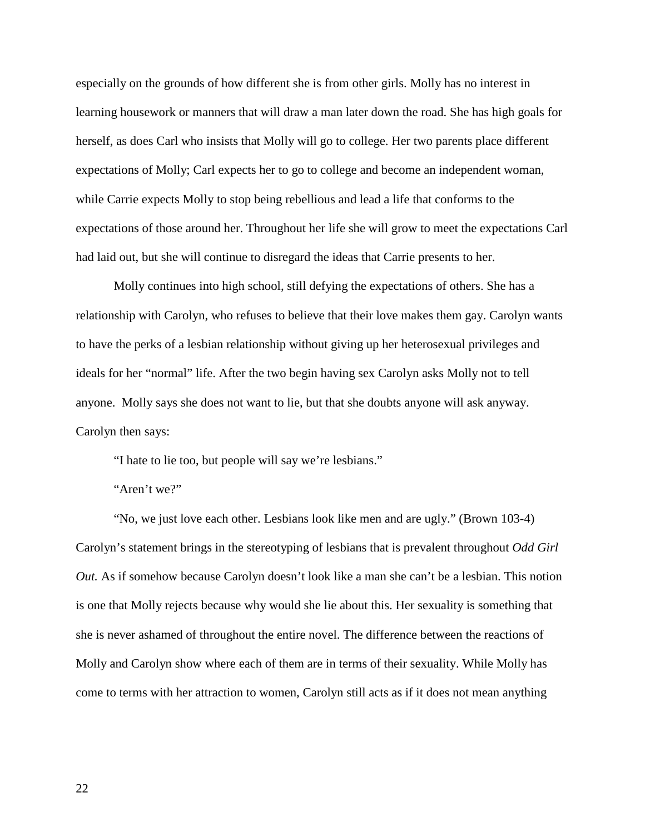especially on the grounds of how different she is from other girls. Molly has no interest in learning housework or manners that will draw a man later down the road. She has high goals for herself, as does Carl who insists that Molly will go to college. Her two parents place different expectations of Molly; Carl expects her to go to college and become an independent woman, while Carrie expects Molly to stop being rebellious and lead a life that conforms to the expectations of those around her. Throughout her life she will grow to meet the expectations Carl had laid out, but she will continue to disregard the ideas that Carrie presents to her.

Molly continues into high school, still defying the expectations of others. She has a relationship with Carolyn, who refuses to believe that their love makes them gay. Carolyn wants to have the perks of a lesbian relationship without giving up her heterosexual privileges and ideals for her "normal" life. After the two begin having sex Carolyn asks Molly not to tell anyone. Molly says she does not want to lie, but that she doubts anyone will ask anyway. Carolyn then says:

"I hate to lie too, but people will say we're lesbians."

"Aren't we?"

"No, we just love each other. Lesbians look like men and are ugly." (Brown 103-4) Carolyn's statement brings in the stereotyping of lesbians that is prevalent throughout *Odd Girl Out.* As if somehow because Carolyn doesn't look like a man she can't be a lesbian. This notion is one that Molly rejects because why would she lie about this. Her sexuality is something that she is never ashamed of throughout the entire novel. The difference between the reactions of Molly and Carolyn show where each of them are in terms of their sexuality. While Molly has come to terms with her attraction to women, Carolyn still acts as if it does not mean anything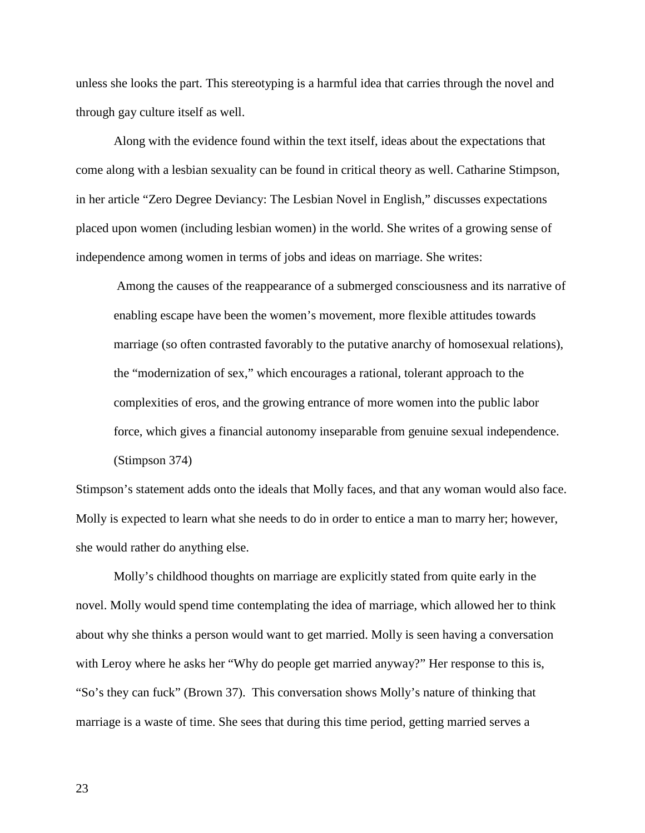unless she looks the part. This stereotyping is a harmful idea that carries through the novel and through gay culture itself as well.

Along with the evidence found within the text itself, ideas about the expectations that come along with a lesbian sexuality can be found in critical theory as well. Catharine Stimpson, in her article "Zero Degree Deviancy: The Lesbian Novel in English," discusses expectations placed upon women (including lesbian women) in the world. She writes of a growing sense of independence among women in terms of jobs and ideas on marriage. She writes:

Among the causes of the reappearance of a submerged consciousness and its narrative of enabling escape have been the women's movement, more flexible attitudes towards marriage (so often contrasted favorably to the putative anarchy of homosexual relations), the "modernization of sex," which encourages a rational, tolerant approach to the complexities of eros, and the growing entrance of more women into the public labor force, which gives a financial autonomy inseparable from genuine sexual independence. (Stimpson 374)

Stimpson's statement adds onto the ideals that Molly faces, and that any woman would also face. Molly is expected to learn what she needs to do in order to entice a man to marry her; however, she would rather do anything else.

Molly's childhood thoughts on marriage are explicitly stated from quite early in the novel. Molly would spend time contemplating the idea of marriage, which allowed her to think about why she thinks a person would want to get married. Molly is seen having a conversation with Leroy where he asks her "Why do people get married anyway?" Her response to this is, "So's they can fuck" (Brown 37). This conversation shows Molly's nature of thinking that marriage is a waste of time. She sees that during this time period, getting married serves a

23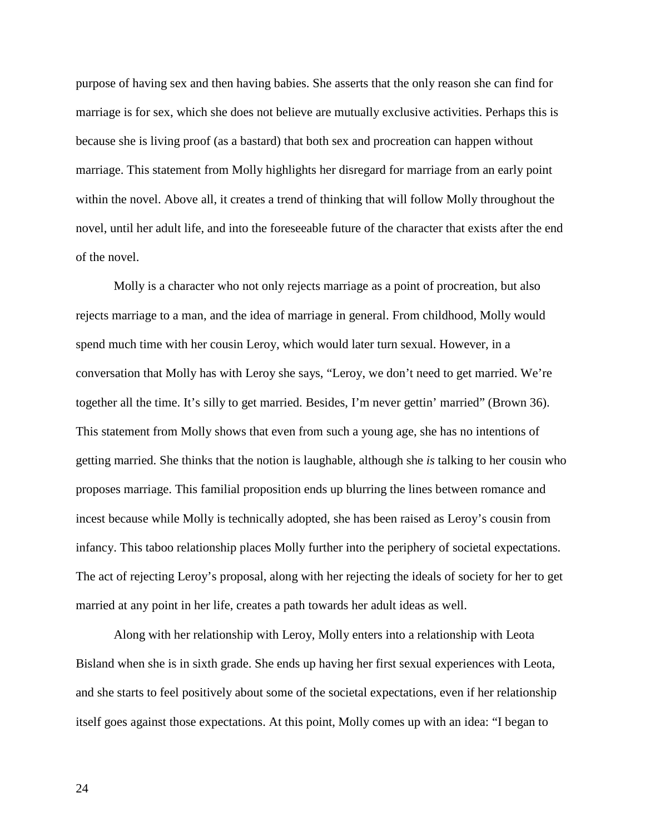purpose of having sex and then having babies. She asserts that the only reason she can find for marriage is for sex, which she does not believe are mutually exclusive activities. Perhaps this is because she is living proof (as a bastard) that both sex and procreation can happen without marriage. This statement from Molly highlights her disregard for marriage from an early point within the novel. Above all, it creates a trend of thinking that will follow Molly throughout the novel, until her adult life, and into the foreseeable future of the character that exists after the end of the novel.

Molly is a character who not only rejects marriage as a point of procreation, but also rejects marriage to a man, and the idea of marriage in general. From childhood, Molly would spend much time with her cousin Leroy, which would later turn sexual. However, in a conversation that Molly has with Leroy she says, "Leroy, we don't need to get married. We're together all the time. It's silly to get married. Besides, I'm never gettin' married" (Brown 36). This statement from Molly shows that even from such a young age, she has no intentions of getting married. She thinks that the notion is laughable, although she *is* talking to her cousin who proposes marriage. This familial proposition ends up blurring the lines between romance and incest because while Molly is technically adopted, she has been raised as Leroy's cousin from infancy. This taboo relationship places Molly further into the periphery of societal expectations. The act of rejecting Leroy's proposal, along with her rejecting the ideals of society for her to get married at any point in her life, creates a path towards her adult ideas as well.

Along with her relationship with Leroy, Molly enters into a relationship with Leota Bisland when she is in sixth grade. She ends up having her first sexual experiences with Leota, and she starts to feel positively about some of the societal expectations, even if her relationship itself goes against those expectations. At this point, Molly comes up with an idea: "I began to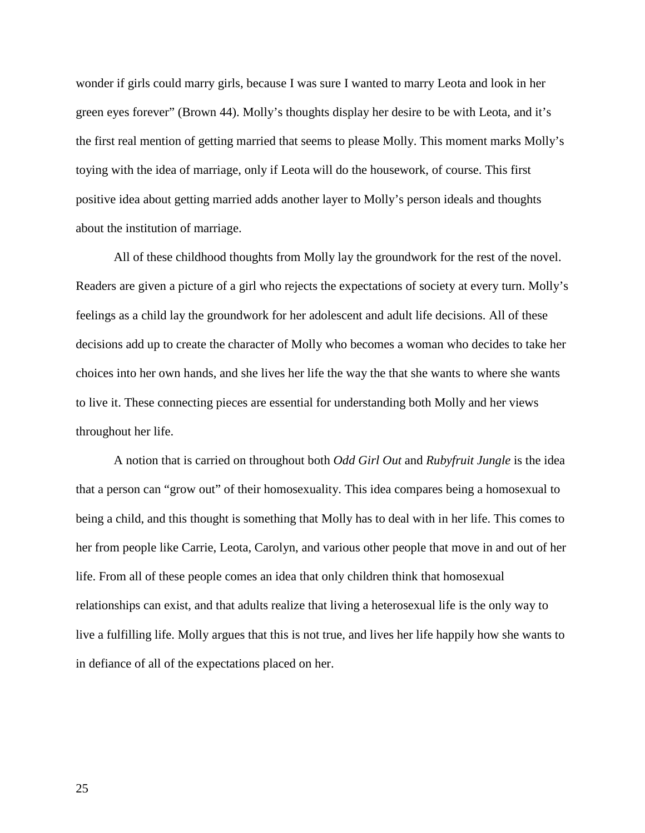wonder if girls could marry girls, because I was sure I wanted to marry Leota and look in her green eyes forever" (Brown 44). Molly's thoughts display her desire to be with Leota, and it's the first real mention of getting married that seems to please Molly. This moment marks Molly's toying with the idea of marriage, only if Leota will do the housework, of course. This first positive idea about getting married adds another layer to Molly's person ideals and thoughts about the institution of marriage.

All of these childhood thoughts from Molly lay the groundwork for the rest of the novel. Readers are given a picture of a girl who rejects the expectations of society at every turn. Molly's feelings as a child lay the groundwork for her adolescent and adult life decisions. All of these decisions add up to create the character of Molly who becomes a woman who decides to take her choices into her own hands, and she lives her life the way the that she wants to where she wants to live it. These connecting pieces are essential for understanding both Molly and her views throughout her life.

A notion that is carried on throughout both *Odd Girl Out* and *Rubyfruit Jungle* is the idea that a person can "grow out" of their homosexuality. This idea compares being a homosexual to being a child, and this thought is something that Molly has to deal with in her life. This comes to her from people like Carrie, Leota, Carolyn, and various other people that move in and out of her life. From all of these people comes an idea that only children think that homosexual relationships can exist, and that adults realize that living a heterosexual life is the only way to live a fulfilling life. Molly argues that this is not true, and lives her life happily how she wants to in defiance of all of the expectations placed on her.

25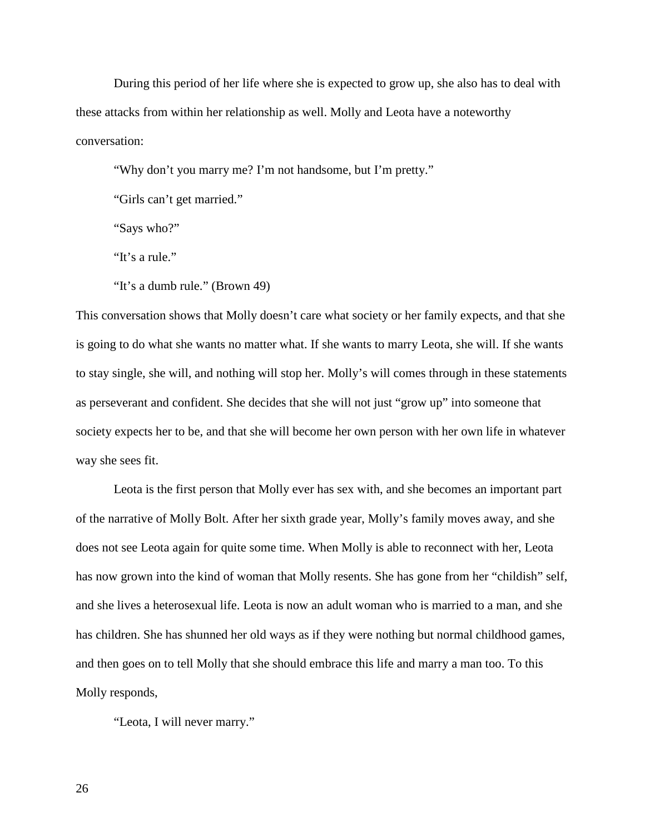During this period of her life where she is expected to grow up, she also has to deal with these attacks from within her relationship as well. Molly and Leota have a noteworthy conversation:

"Why don't you marry me? I'm not handsome, but I'm pretty."

"Girls can't get married."

"Says who?"

"It's a rule."

"It's a dumb rule." (Brown 49)

This conversation shows that Molly doesn't care what society or her family expects, and that she is going to do what she wants no matter what. If she wants to marry Leota, she will. If she wants to stay single, she will, and nothing will stop her. Molly's will comes through in these statements as perseverant and confident. She decides that she will not just "grow up" into someone that society expects her to be, and that she will become her own person with her own life in whatever way she sees fit.

Leota is the first person that Molly ever has sex with, and she becomes an important part of the narrative of Molly Bolt. After her sixth grade year, Molly's family moves away, and she does not see Leota again for quite some time. When Molly is able to reconnect with her, Leota has now grown into the kind of woman that Molly resents. She has gone from her "childish" self, and she lives a heterosexual life. Leota is now an adult woman who is married to a man, and she has children. She has shunned her old ways as if they were nothing but normal childhood games, and then goes on to tell Molly that she should embrace this life and marry a man too. To this Molly responds,

"Leota, I will never marry."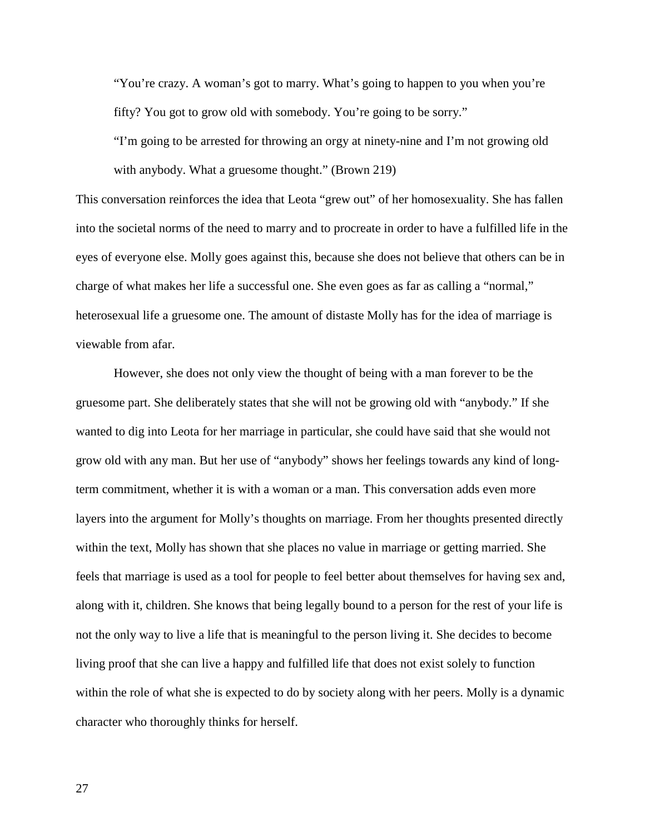"You're crazy. A woman's got to marry. What's going to happen to you when you're fifty? You got to grow old with somebody. You're going to be sorry."

"I'm going to be arrested for throwing an orgy at ninety-nine and I'm not growing old with anybody. What a gruesome thought." (Brown 219)

This conversation reinforces the idea that Leota "grew out" of her homosexuality. She has fallen into the societal norms of the need to marry and to procreate in order to have a fulfilled life in the eyes of everyone else. Molly goes against this, because she does not believe that others can be in charge of what makes her life a successful one. She even goes as far as calling a "normal," heterosexual life a gruesome one. The amount of distaste Molly has for the idea of marriage is viewable from afar.

However, she does not only view the thought of being with a man forever to be the gruesome part. She deliberately states that she will not be growing old with "anybody." If she wanted to dig into Leota for her marriage in particular, she could have said that she would not grow old with any man. But her use of "anybody" shows her feelings towards any kind of longterm commitment, whether it is with a woman or a man. This conversation adds even more layers into the argument for Molly's thoughts on marriage. From her thoughts presented directly within the text, Molly has shown that she places no value in marriage or getting married. She feels that marriage is used as a tool for people to feel better about themselves for having sex and, along with it, children. She knows that being legally bound to a person for the rest of your life is not the only way to live a life that is meaningful to the person living it. She decides to become living proof that she can live a happy and fulfilled life that does not exist solely to function within the role of what she is expected to do by society along with her peers. Molly is a dynamic character who thoroughly thinks for herself.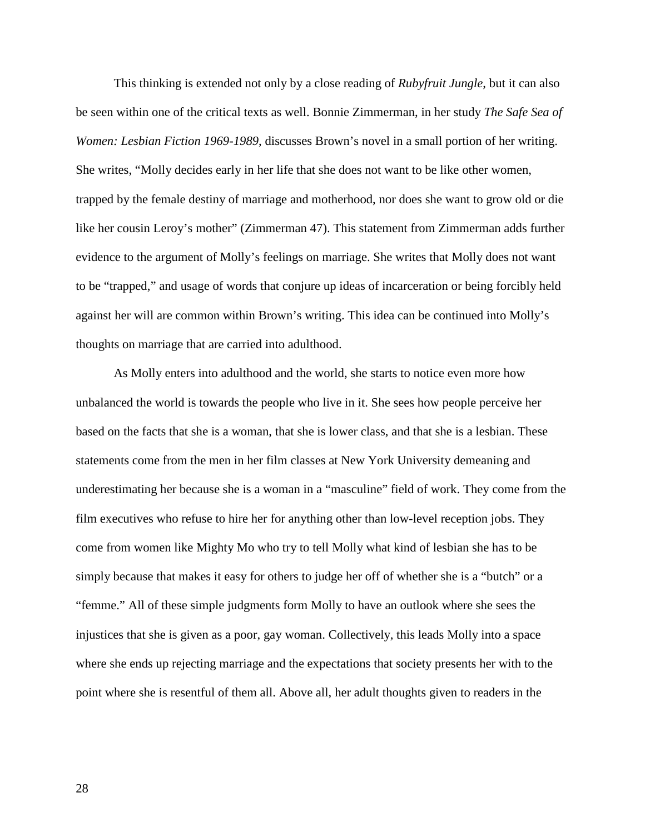This thinking is extended not only by a close reading of *Rubyfruit Jungle*, but it can also be seen within one of the critical texts as well. Bonnie Zimmerman, in her study *The Safe Sea of Women: Lesbian Fiction 1969-1989*, discusses Brown's novel in a small portion of her writing. She writes, "Molly decides early in her life that she does not want to be like other women, trapped by the female destiny of marriage and motherhood, nor does she want to grow old or die like her cousin Leroy's mother" (Zimmerman 47). This statement from Zimmerman adds further evidence to the argument of Molly's feelings on marriage. She writes that Molly does not want to be "trapped," and usage of words that conjure up ideas of incarceration or being forcibly held against her will are common within Brown's writing. This idea can be continued into Molly's thoughts on marriage that are carried into adulthood.

As Molly enters into adulthood and the world, she starts to notice even more how unbalanced the world is towards the people who live in it. She sees how people perceive her based on the facts that she is a woman, that she is lower class, and that she is a lesbian. These statements come from the men in her film classes at New York University demeaning and underestimating her because she is a woman in a "masculine" field of work. They come from the film executives who refuse to hire her for anything other than low-level reception jobs. They come from women like Mighty Mo who try to tell Molly what kind of lesbian she has to be simply because that makes it easy for others to judge her off of whether she is a "butch" or a "femme." All of these simple judgments form Molly to have an outlook where she sees the injustices that she is given as a poor, gay woman. Collectively, this leads Molly into a space where she ends up rejecting marriage and the expectations that society presents her with to the point where she is resentful of them all. Above all, her adult thoughts given to readers in the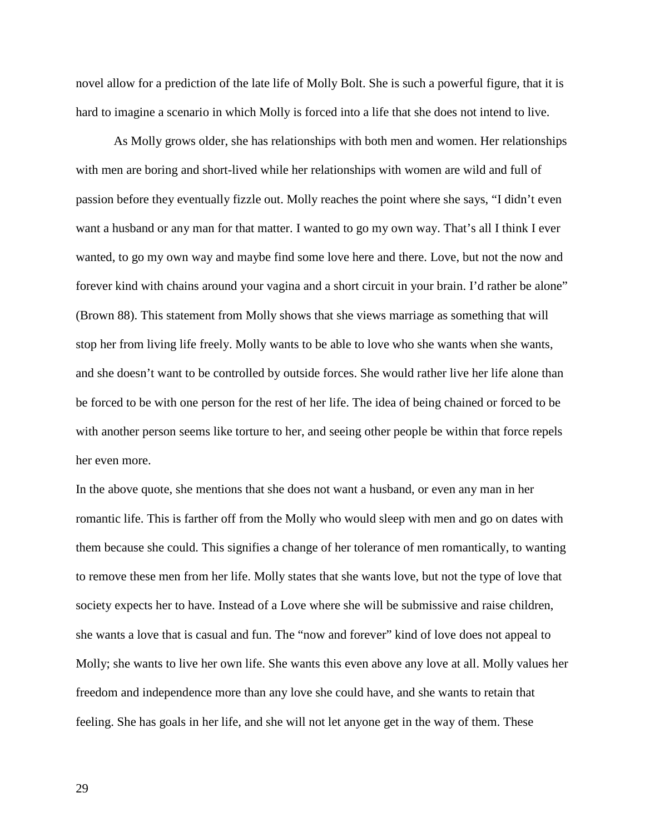novel allow for a prediction of the late life of Molly Bolt. She is such a powerful figure, that it is hard to imagine a scenario in which Molly is forced into a life that she does not intend to live.

As Molly grows older, she has relationships with both men and women. Her relationships with men are boring and short-lived while her relationships with women are wild and full of passion before they eventually fizzle out. Molly reaches the point where she says, "I didn't even want a husband or any man for that matter. I wanted to go my own way. That's all I think I ever wanted, to go my own way and maybe find some love here and there. Love, but not the now and forever kind with chains around your vagina and a short circuit in your brain. I'd rather be alone" (Brown 88). This statement from Molly shows that she views marriage as something that will stop her from living life freely. Molly wants to be able to love who she wants when she wants, and she doesn't want to be controlled by outside forces. She would rather live her life alone than be forced to be with one person for the rest of her life. The idea of being chained or forced to be with another person seems like torture to her, and seeing other people be within that force repels her even more.

In the above quote, she mentions that she does not want a husband, or even any man in her romantic life. This is farther off from the Molly who would sleep with men and go on dates with them because she could. This signifies a change of her tolerance of men romantically, to wanting to remove these men from her life. Molly states that she wants love, but not the type of love that society expects her to have. Instead of a Love where she will be submissive and raise children, she wants a love that is casual and fun. The "now and forever" kind of love does not appeal to Molly; she wants to live her own life. She wants this even above any love at all. Molly values her freedom and independence more than any love she could have, and she wants to retain that feeling. She has goals in her life, and she will not let anyone get in the way of them. These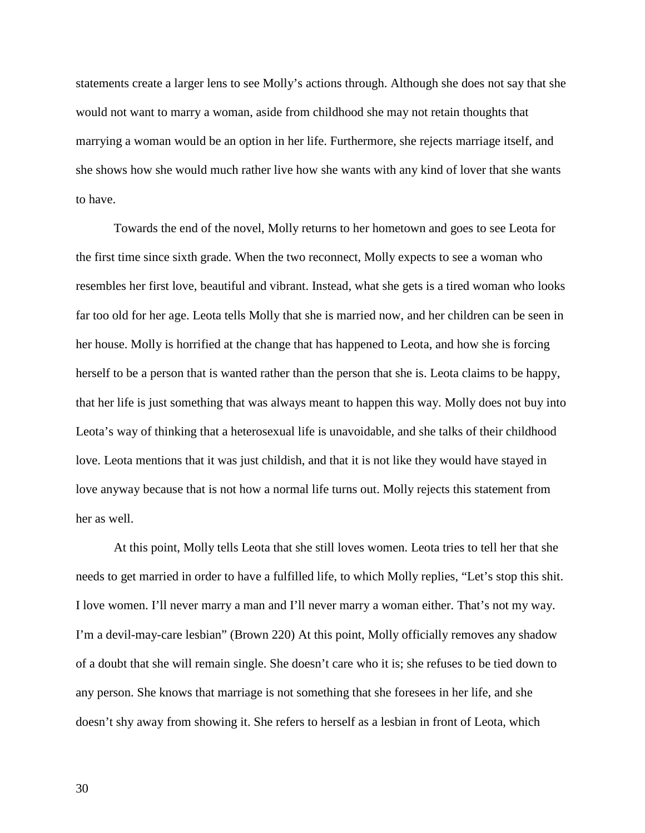statements create a larger lens to see Molly's actions through. Although she does not say that she would not want to marry a woman, aside from childhood she may not retain thoughts that marrying a woman would be an option in her life. Furthermore, she rejects marriage itself, and she shows how she would much rather live how she wants with any kind of lover that she wants to have.

Towards the end of the novel, Molly returns to her hometown and goes to see Leota for the first time since sixth grade. When the two reconnect, Molly expects to see a woman who resembles her first love, beautiful and vibrant. Instead, what she gets is a tired woman who looks far too old for her age. Leota tells Molly that she is married now, and her children can be seen in her house. Molly is horrified at the change that has happened to Leota, and how she is forcing herself to be a person that is wanted rather than the person that she is. Leota claims to be happy, that her life is just something that was always meant to happen this way. Molly does not buy into Leota's way of thinking that a heterosexual life is unavoidable, and she talks of their childhood love. Leota mentions that it was just childish, and that it is not like they would have stayed in love anyway because that is not how a normal life turns out. Molly rejects this statement from her as well.

At this point, Molly tells Leota that she still loves women. Leota tries to tell her that she needs to get married in order to have a fulfilled life, to which Molly replies, "Let's stop this shit. I love women. I'll never marry a man and I'll never marry a woman either. That's not my way. I'm a devil-may-care lesbian" (Brown 220) At this point, Molly officially removes any shadow of a doubt that she will remain single. She doesn't care who it is; she refuses to be tied down to any person. She knows that marriage is not something that she foresees in her life, and she doesn't shy away from showing it. She refers to herself as a lesbian in front of Leota, which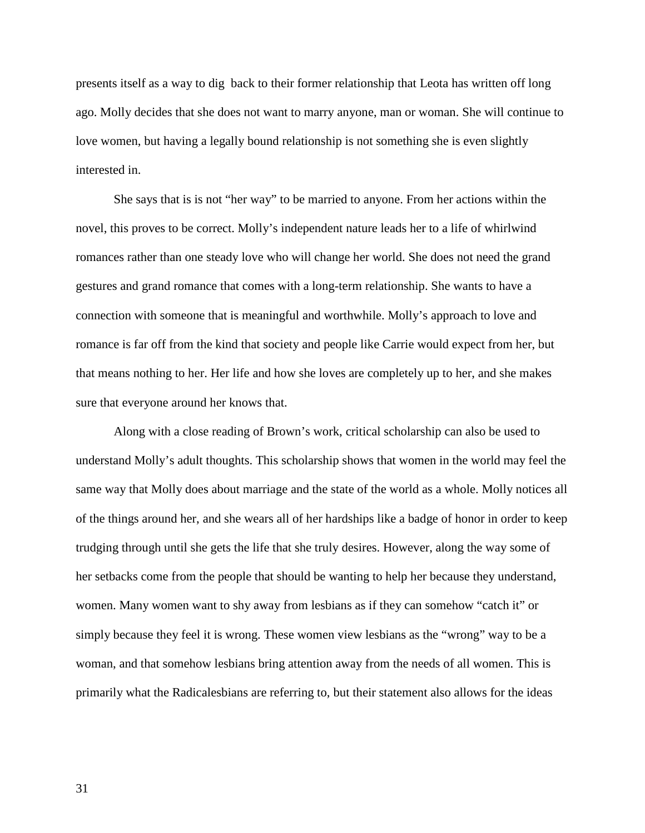presents itself as a way to dig back to their former relationship that Leota has written off long ago. Molly decides that she does not want to marry anyone, man or woman. She will continue to love women, but having a legally bound relationship is not something she is even slightly interested in.

She says that is is not "her way" to be married to anyone. From her actions within the novel, this proves to be correct. Molly's independent nature leads her to a life of whirlwind romances rather than one steady love who will change her world. She does not need the grand gestures and grand romance that comes with a long-term relationship. She wants to have a connection with someone that is meaningful and worthwhile. Molly's approach to love and romance is far off from the kind that society and people like Carrie would expect from her, but that means nothing to her. Her life and how she loves are completely up to her, and she makes sure that everyone around her knows that.

Along with a close reading of Brown's work, critical scholarship can also be used to understand Molly's adult thoughts. This scholarship shows that women in the world may feel the same way that Molly does about marriage and the state of the world as a whole. Molly notices all of the things around her, and she wears all of her hardships like a badge of honor in order to keep trudging through until she gets the life that she truly desires. However, along the way some of her setbacks come from the people that should be wanting to help her because they understand, women. Many women want to shy away from lesbians as if they can somehow "catch it" or simply because they feel it is wrong. These women view lesbians as the "wrong" way to be a woman, and that somehow lesbians bring attention away from the needs of all women. This is primarily what the Radicalesbians are referring to, but their statement also allows for the ideas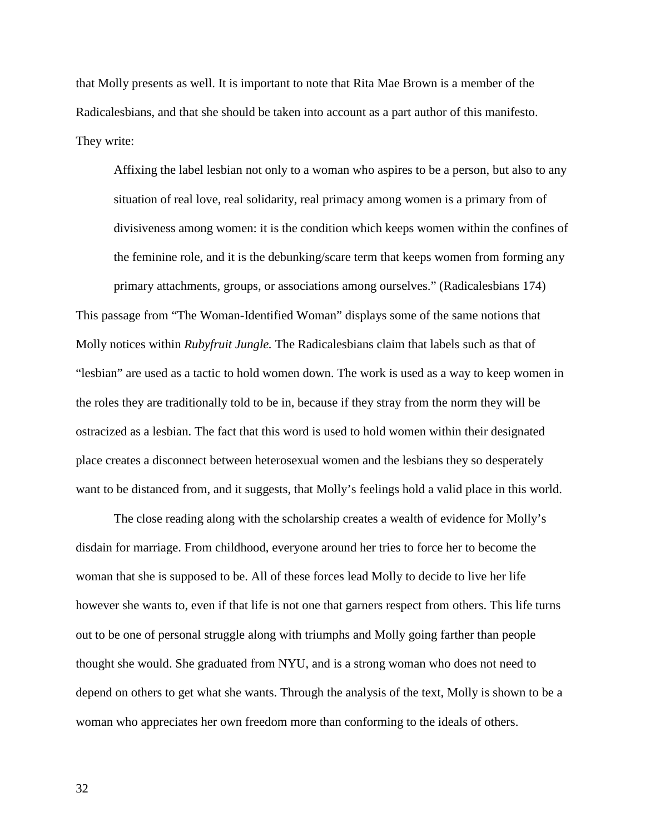that Molly presents as well. It is important to note that Rita Mae Brown is a member of the Radicalesbians, and that she should be taken into account as a part author of this manifesto. They write:

Affixing the label lesbian not only to a woman who aspires to be a person, but also to any situation of real love, real solidarity, real primacy among women is a primary from of divisiveness among women: it is the condition which keeps women within the confines of the feminine role, and it is the debunking/scare term that keeps women from forming any primary attachments, groups, or associations among ourselves." (Radicalesbians 174)

This passage from "The Woman-Identified Woman" displays some of the same notions that Molly notices within *Rubyfruit Jungle.* The Radicalesbians claim that labels such as that of "lesbian" are used as a tactic to hold women down. The work is used as a way to keep women in the roles they are traditionally told to be in, because if they stray from the norm they will be ostracized as a lesbian. The fact that this word is used to hold women within their designated place creates a disconnect between heterosexual women and the lesbians they so desperately want to be distanced from, and it suggests, that Molly's feelings hold a valid place in this world.

The close reading along with the scholarship creates a wealth of evidence for Molly's disdain for marriage. From childhood, everyone around her tries to force her to become the woman that she is supposed to be. All of these forces lead Molly to decide to live her life however she wants to, even if that life is not one that garners respect from others. This life turns out to be one of personal struggle along with triumphs and Molly going farther than people thought she would. She graduated from NYU, and is a strong woman who does not need to depend on others to get what she wants. Through the analysis of the text, Molly is shown to be a woman who appreciates her own freedom more than conforming to the ideals of others.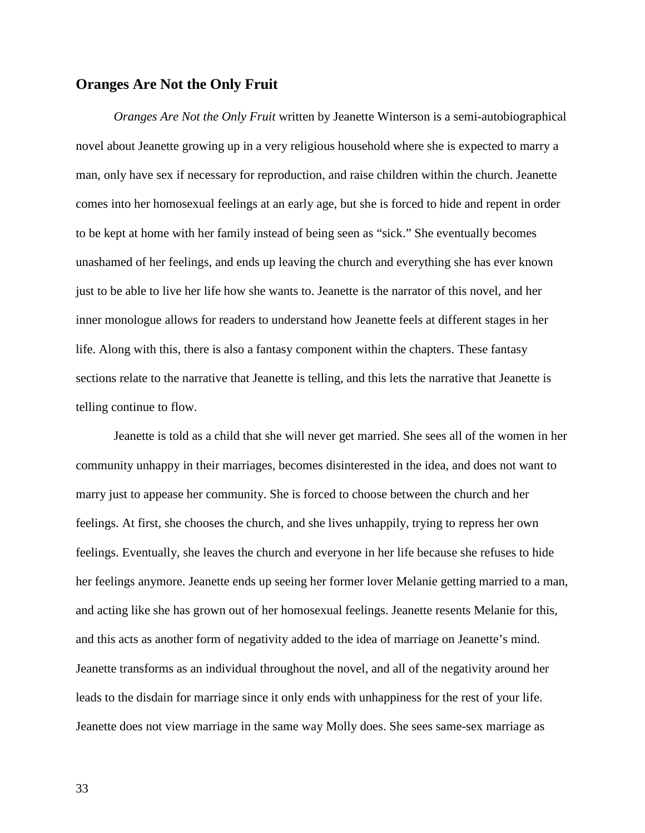## **Oranges Are Not the Only Fruit**

*Oranges Are Not the Only Fruit* written by Jeanette Winterson is a semi-autobiographical novel about Jeanette growing up in a very religious household where she is expected to marry a man, only have sex if necessary for reproduction, and raise children within the church. Jeanette comes into her homosexual feelings at an early age, but she is forced to hide and repent in order to be kept at home with her family instead of being seen as "sick." She eventually becomes unashamed of her feelings, and ends up leaving the church and everything she has ever known just to be able to live her life how she wants to. Jeanette is the narrator of this novel, and her inner monologue allows for readers to understand how Jeanette feels at different stages in her life. Along with this, there is also a fantasy component within the chapters. These fantasy sections relate to the narrative that Jeanette is telling, and this lets the narrative that Jeanette is telling continue to flow.

Jeanette is told as a child that she will never get married. She sees all of the women in her community unhappy in their marriages, becomes disinterested in the idea, and does not want to marry just to appease her community. She is forced to choose between the church and her feelings. At first, she chooses the church, and she lives unhappily, trying to repress her own feelings. Eventually, she leaves the church and everyone in her life because she refuses to hide her feelings anymore. Jeanette ends up seeing her former lover Melanie getting married to a man, and acting like she has grown out of her homosexual feelings. Jeanette resents Melanie for this, and this acts as another form of negativity added to the idea of marriage on Jeanette's mind. Jeanette transforms as an individual throughout the novel, and all of the negativity around her leads to the disdain for marriage since it only ends with unhappiness for the rest of your life. Jeanette does not view marriage in the same way Molly does. She sees same-sex marriage as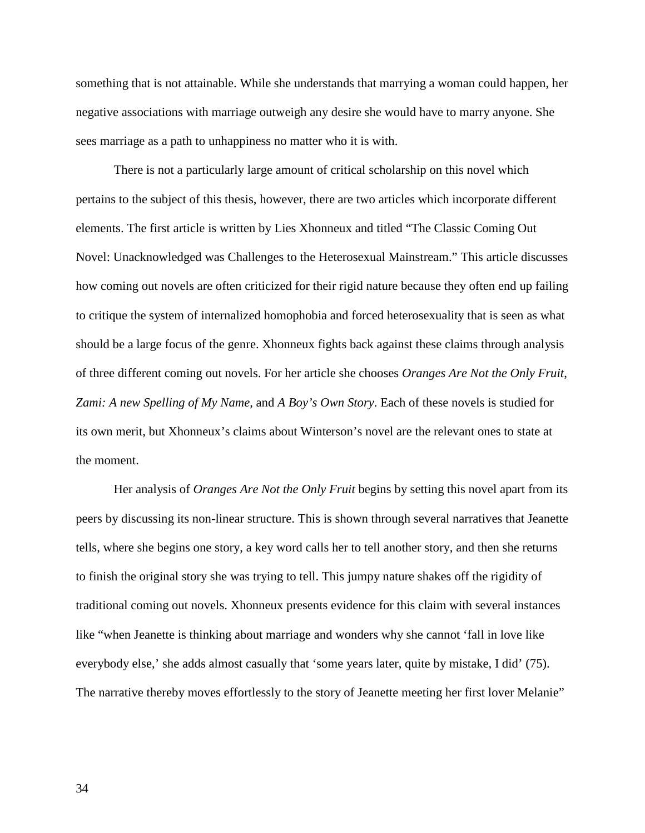something that is not attainable. While she understands that marrying a woman could happen, her negative associations with marriage outweigh any desire she would have to marry anyone. She sees marriage as a path to unhappiness no matter who it is with.

There is not a particularly large amount of critical scholarship on this novel which pertains to the subject of this thesis, however, there are two articles which incorporate different elements. The first article is written by Lies Xhonneux and titled "The Classic Coming Out Novel: Unacknowledged was Challenges to the Heterosexual Mainstream." This article discusses how coming out novels are often criticized for their rigid nature because they often end up failing to critique the system of internalized homophobia and forced heterosexuality that is seen as what should be a large focus of the genre. Xhonneux fights back against these claims through analysis of three different coming out novels. For her article she chooses *Oranges Are Not the Only Fruit*, *Zami: A new Spelling of My Name*, and *A Boy's Own Story*. Each of these novels is studied for its own merit, but Xhonneux's claims about Winterson's novel are the relevant ones to state at the moment.

Her analysis of *Oranges Are Not the Only Fruit* begins by setting this novel apart from its peers by discussing its non-linear structure. This is shown through several narratives that Jeanette tells, where she begins one story, a key word calls her to tell another story, and then she returns to finish the original story she was trying to tell. This jumpy nature shakes off the rigidity of traditional coming out novels. Xhonneux presents evidence for this claim with several instances like "when Jeanette is thinking about marriage and wonders why she cannot 'fall in love like everybody else,' she adds almost casually that 'some years later, quite by mistake, I did' (75). The narrative thereby moves effortlessly to the story of Jeanette meeting her first lover Melanie"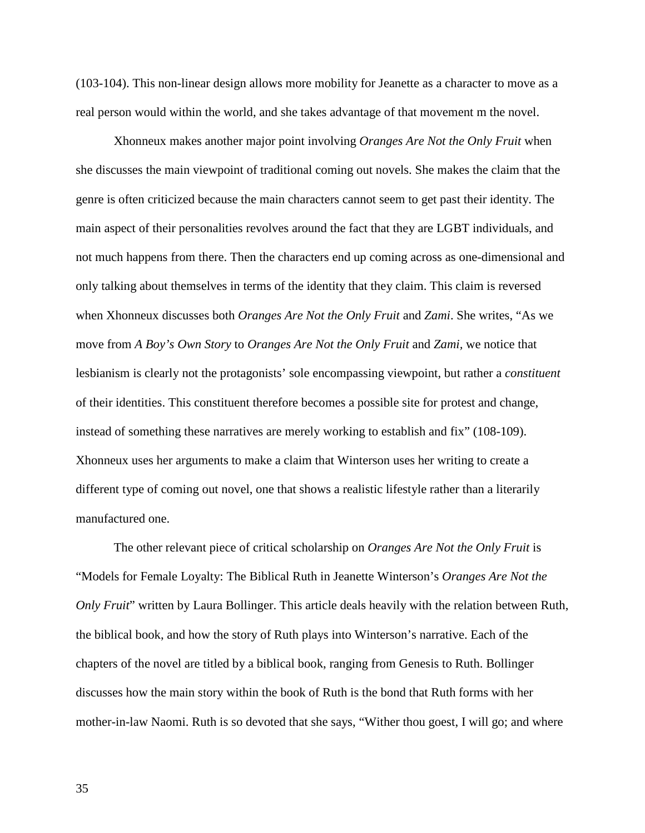(103-104). This non-linear design allows more mobility for Jeanette as a character to move as a real person would within the world, and she takes advantage of that movement m the novel.

Xhonneux makes another major point involving *Oranges Are Not the Only Fruit* when she discusses the main viewpoint of traditional coming out novels. She makes the claim that the genre is often criticized because the main characters cannot seem to get past their identity. The main aspect of their personalities revolves around the fact that they are LGBT individuals, and not much happens from there. Then the characters end up coming across as one-dimensional and only talking about themselves in terms of the identity that they claim. This claim is reversed when Xhonneux discusses both *Oranges Are Not the Only Fruit* and *Zami*. She writes, "As we move from *A Boy's Own Story* to *Oranges Are Not the Only Fruit* and *Zami,* we notice that lesbianism is clearly not the protagonists' sole encompassing viewpoint, but rather a *constituent* of their identities. This constituent therefore becomes a possible site for protest and change, instead of something these narratives are merely working to establish and fix" (108-109). Xhonneux uses her arguments to make a claim that Winterson uses her writing to create a different type of coming out novel, one that shows a realistic lifestyle rather than a literarily manufactured one.

The other relevant piece of critical scholarship on *Oranges Are Not the Only Fruit* is "Models for Female Loyalty: The Biblical Ruth in Jeanette Winterson's *Oranges Are Not the Only Fruit*" written by Laura Bollinger. This article deals heavily with the relation between Ruth, the biblical book, and how the story of Ruth plays into Winterson's narrative. Each of the chapters of the novel are titled by a biblical book, ranging from Genesis to Ruth. Bollinger discusses how the main story within the book of Ruth is the bond that Ruth forms with her mother-in-law Naomi. Ruth is so devoted that she says, "Wither thou goest, I will go; and where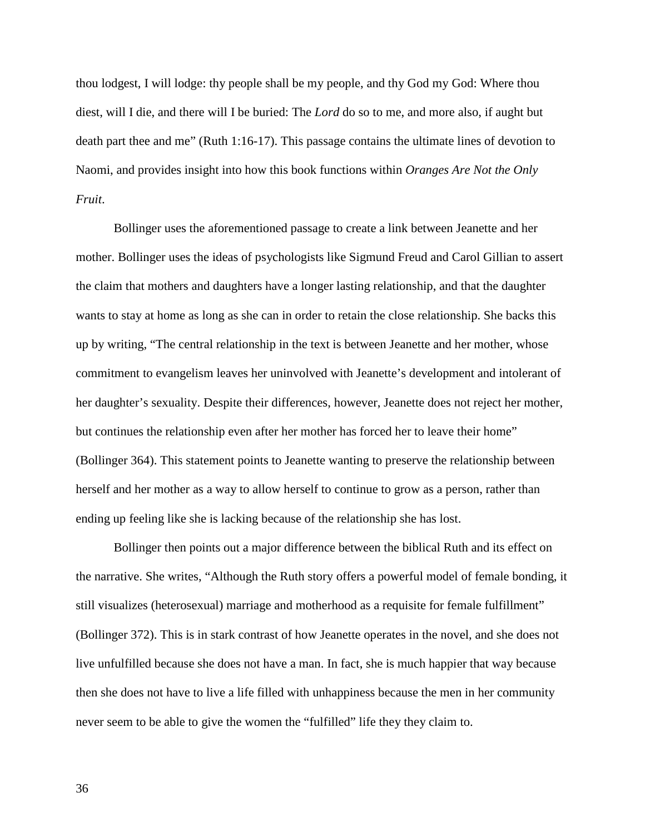thou lodgest, I will lodge: thy people shall be my people, and thy God my God: Where thou diest, will I die, and there will I be buried: The *Lord* do so to me, and more also, if aught but death part thee and me" (Ruth 1:16-17). This passage contains the ultimate lines of devotion to Naomi, and provides insight into how this book functions within *Oranges Are Not the Only Fruit*.

Bollinger uses the aforementioned passage to create a link between Jeanette and her mother. Bollinger uses the ideas of psychologists like Sigmund Freud and Carol Gillian to assert the claim that mothers and daughters have a longer lasting relationship, and that the daughter wants to stay at home as long as she can in order to retain the close relationship. She backs this up by writing, "The central relationship in the text is between Jeanette and her mother, whose commitment to evangelism leaves her uninvolved with Jeanette's development and intolerant of her daughter's sexuality. Despite their differences, however, Jeanette does not reject her mother, but continues the relationship even after her mother has forced her to leave their home" (Bollinger 364). This statement points to Jeanette wanting to preserve the relationship between herself and her mother as a way to allow herself to continue to grow as a person, rather than ending up feeling like she is lacking because of the relationship she has lost.

Bollinger then points out a major difference between the biblical Ruth and its effect on the narrative. She writes, "Although the Ruth story offers a powerful model of female bonding, it still visualizes (heterosexual) marriage and motherhood as a requisite for female fulfillment" (Bollinger 372). This is in stark contrast of how Jeanette operates in the novel, and she does not live unfulfilled because she does not have a man. In fact, she is much happier that way because then she does not have to live a life filled with unhappiness because the men in her community never seem to be able to give the women the "fulfilled" life they they claim to.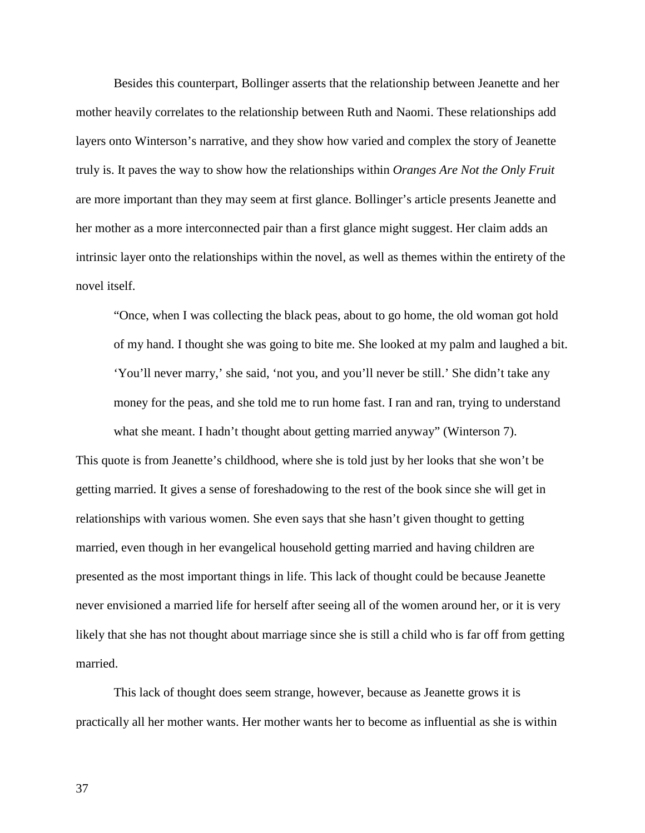Besides this counterpart, Bollinger asserts that the relationship between Jeanette and her mother heavily correlates to the relationship between Ruth and Naomi. These relationships add layers onto Winterson's narrative, and they show how varied and complex the story of Jeanette truly is. It paves the way to show how the relationships within *Oranges Are Not the Only Fruit* are more important than they may seem at first glance. Bollinger's article presents Jeanette and her mother as a more interconnected pair than a first glance might suggest. Her claim adds an intrinsic layer onto the relationships within the novel, as well as themes within the entirety of the novel itself.

"Once, when I was collecting the black peas, about to go home, the old woman got hold of my hand. I thought she was going to bite me. She looked at my palm and laughed a bit. 'You'll never marry,' she said, 'not you, and you'll never be still.' She didn't take any money for the peas, and she told me to run home fast. I ran and ran, trying to understand what she meant. I hadn't thought about getting married anyway" (Winterson 7).

This quote is from Jeanette's childhood, where she is told just by her looks that she won't be getting married. It gives a sense of foreshadowing to the rest of the book since she will get in relationships with various women. She even says that she hasn't given thought to getting married, even though in her evangelical household getting married and having children are presented as the most important things in life. This lack of thought could be because Jeanette never envisioned a married life for herself after seeing all of the women around her, or it is very likely that she has not thought about marriage since she is still a child who is far off from getting married.

This lack of thought does seem strange, however, because as Jeanette grows it is practically all her mother wants. Her mother wants her to become as influential as she is within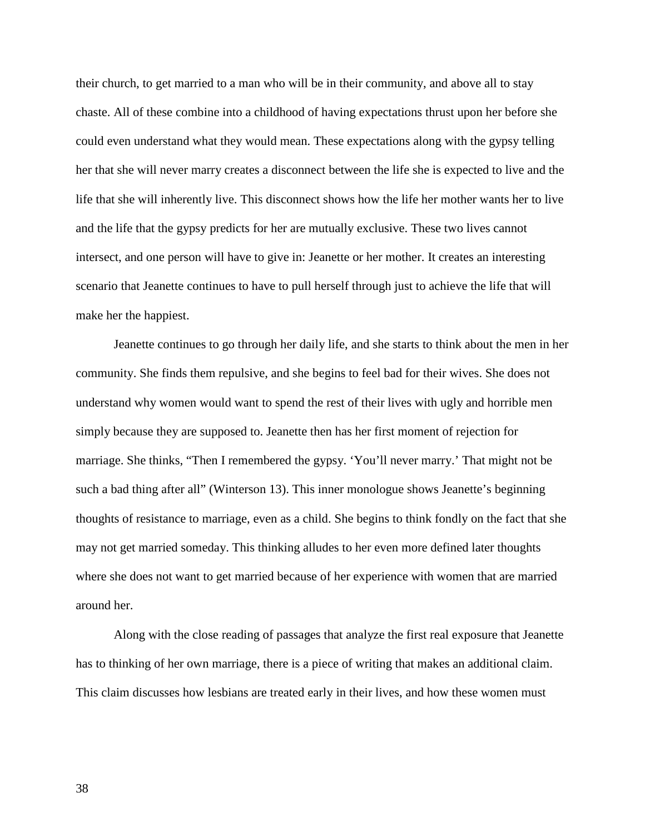their church, to get married to a man who will be in their community, and above all to stay chaste. All of these combine into a childhood of having expectations thrust upon her before she could even understand what they would mean. These expectations along with the gypsy telling her that she will never marry creates a disconnect between the life she is expected to live and the life that she will inherently live. This disconnect shows how the life her mother wants her to live and the life that the gypsy predicts for her are mutually exclusive. These two lives cannot intersect, and one person will have to give in: Jeanette or her mother. It creates an interesting scenario that Jeanette continues to have to pull herself through just to achieve the life that will make her the happiest.

Jeanette continues to go through her daily life, and she starts to think about the men in her community. She finds them repulsive, and she begins to feel bad for their wives. She does not understand why women would want to spend the rest of their lives with ugly and horrible men simply because they are supposed to. Jeanette then has her first moment of rejection for marriage. She thinks, "Then I remembered the gypsy. 'You'll never marry.' That might not be such a bad thing after all" (Winterson 13). This inner monologue shows Jeanette's beginning thoughts of resistance to marriage, even as a child. She begins to think fondly on the fact that she may not get married someday. This thinking alludes to her even more defined later thoughts where she does not want to get married because of her experience with women that are married around her.

Along with the close reading of passages that analyze the first real exposure that Jeanette has to thinking of her own marriage, there is a piece of writing that makes an additional claim. This claim discusses how lesbians are treated early in their lives, and how these women must

38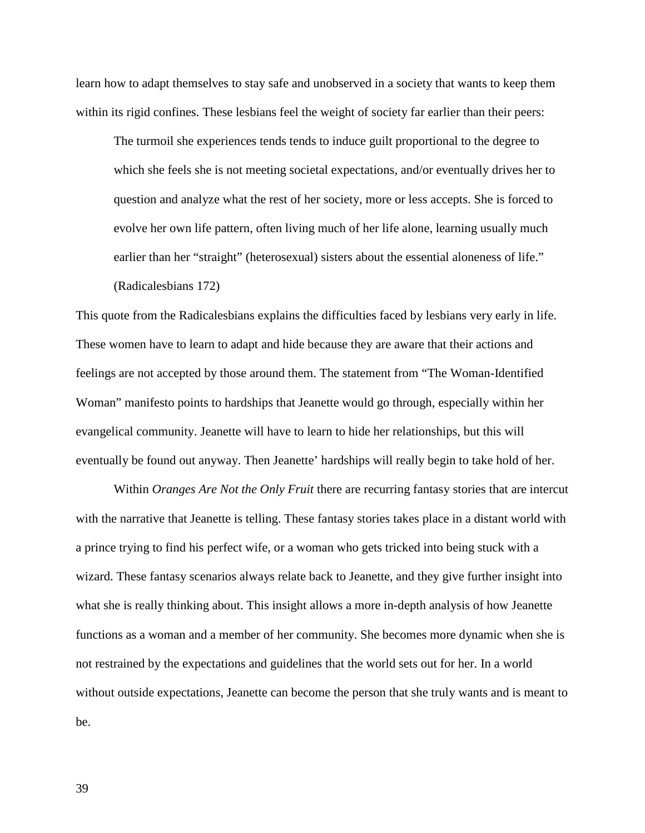learn how to adapt themselves to stay safe and unobserved in a society that wants to keep them within its rigid confines. These lesbians feel the weight of society far earlier than their peers:

The turmoil she experiences tends tends to induce guilt proportional to the degree to which she feels she is not meeting societal expectations, and/or eventually drives her to question and analyze what the rest of her society, more or less accepts. She is forced to evolve her own life pattern, often living much of her life alone, learning usually much earlier than her "straight" (heterosexual) sisters about the essential aloneness of life." (Radicalesbians 172)

This quote from the Radicalesbians explains the difficulties faced by lesbians very early in life. These women have to learn to adapt and hide because they are aware that their actions and feelings are not accepted by those around them. The statement from "The Woman-Identified Woman" manifesto points to hardships that Jeanette would go through, especially within her evangelical community. Jeanette will have to learn to hide her relationships, but this will eventually be found out anyway. Then Jeanette' hardships will really begin to take hold of her.

Within *Oranges Are Not the Only Fruit* there are recurring fantasy stories that are intercut with the narrative that Jeanette is telling. These fantasy stories takes place in a distant world with a prince trying to find his perfect wife, or a woman who gets tricked into being stuck with a wizard. These fantasy scenarios always relate back to Jeanette, and they give further insight into what she is really thinking about. This insight allows a more in-depth analysis of how Jeanette functions as a woman and a member of her community. She becomes more dynamic when she is not restrained by the expectations and guidelines that the world sets out for her. In a world without outside expectations, Jeanette can become the person that she truly wants and is meant to be.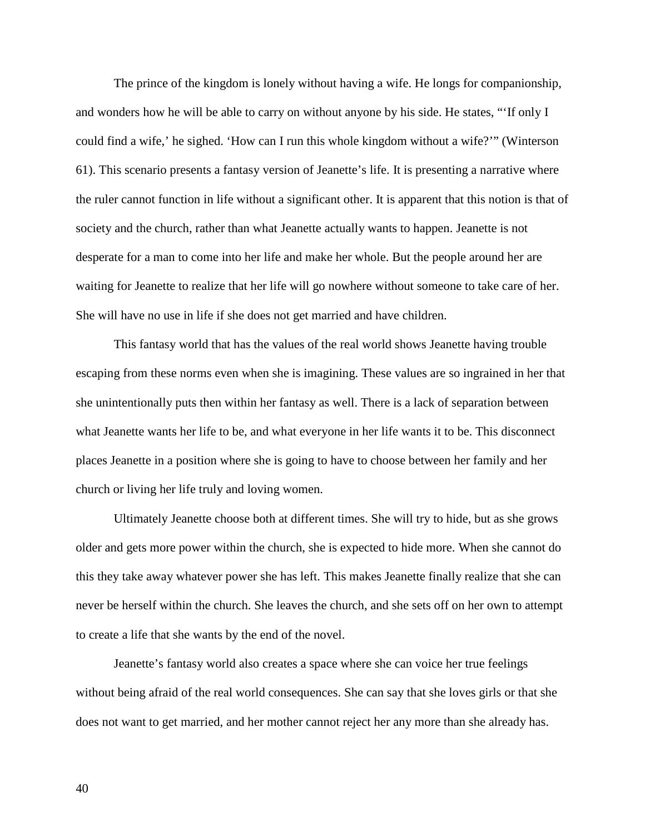The prince of the kingdom is lonely without having a wife. He longs for companionship, and wonders how he will be able to carry on without anyone by his side. He states, "'If only I could find a wife,' he sighed. 'How can I run this whole kingdom without a wife?'" (Winterson 61). This scenario presents a fantasy version of Jeanette's life. It is presenting a narrative where the ruler cannot function in life without a significant other. It is apparent that this notion is that of society and the church, rather than what Jeanette actually wants to happen. Jeanette is not desperate for a man to come into her life and make her whole. But the people around her are waiting for Jeanette to realize that her life will go nowhere without someone to take care of her. She will have no use in life if she does not get married and have children.

This fantasy world that has the values of the real world shows Jeanette having trouble escaping from these norms even when she is imagining. These values are so ingrained in her that she unintentionally puts then within her fantasy as well. There is a lack of separation between what Jeanette wants her life to be, and what everyone in her life wants it to be. This disconnect places Jeanette in a position where she is going to have to choose between her family and her church or living her life truly and loving women.

Ultimately Jeanette choose both at different times. She will try to hide, but as she grows older and gets more power within the church, she is expected to hide more. When she cannot do this they take away whatever power she has left. This makes Jeanette finally realize that she can never be herself within the church. She leaves the church, and she sets off on her own to attempt to create a life that she wants by the end of the novel.

Jeanette's fantasy world also creates a space where she can voice her true feelings without being afraid of the real world consequences. She can say that she loves girls or that she does not want to get married, and her mother cannot reject her any more than she already has.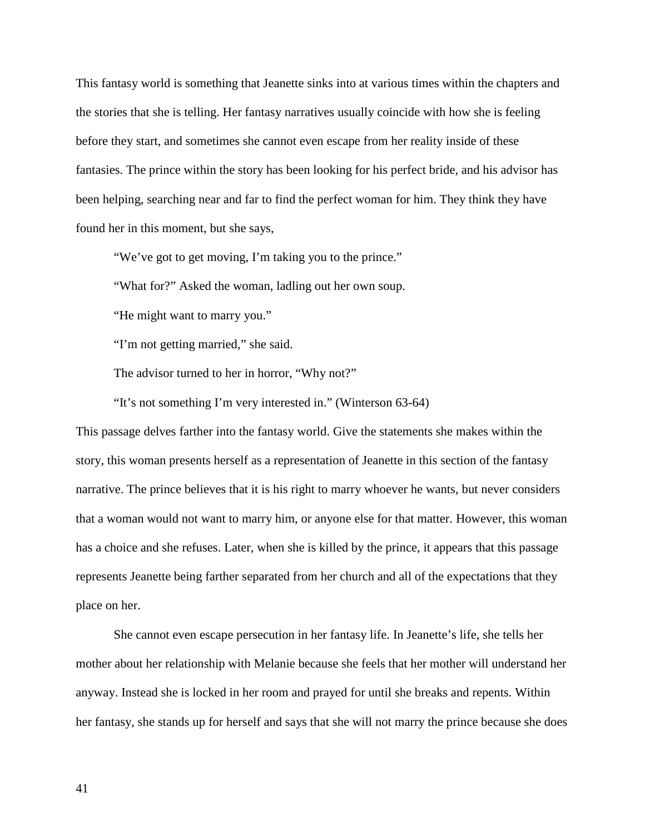This fantasy world is something that Jeanette sinks into at various times within the chapters and the stories that she is telling. Her fantasy narratives usually coincide with how she is feeling before they start, and sometimes she cannot even escape from her reality inside of these fantasies. The prince within the story has been looking for his perfect bride, and his advisor has been helping, searching near and far to find the perfect woman for him. They think they have found her in this moment, but she says,

"We've got to get moving, I'm taking you to the prince."

"What for?" Asked the woman, ladling out her own soup.

"He might want to marry you."

"I'm not getting married," she said.

The advisor turned to her in horror, "Why not?"

"It's not something I'm very interested in." (Winterson 63-64)

This passage delves farther into the fantasy world. Give the statements she makes within the story, this woman presents herself as a representation of Jeanette in this section of the fantasy narrative. The prince believes that it is his right to marry whoever he wants, but never considers that a woman would not want to marry him, or anyone else for that matter. However, this woman has a choice and she refuses. Later, when she is killed by the prince, it appears that this passage represents Jeanette being farther separated from her church and all of the expectations that they place on her.

She cannot even escape persecution in her fantasy life. In Jeanette's life, she tells her mother about her relationship with Melanie because she feels that her mother will understand her anyway. Instead she is locked in her room and prayed for until she breaks and repents. Within her fantasy, she stands up for herself and says that she will not marry the prince because she does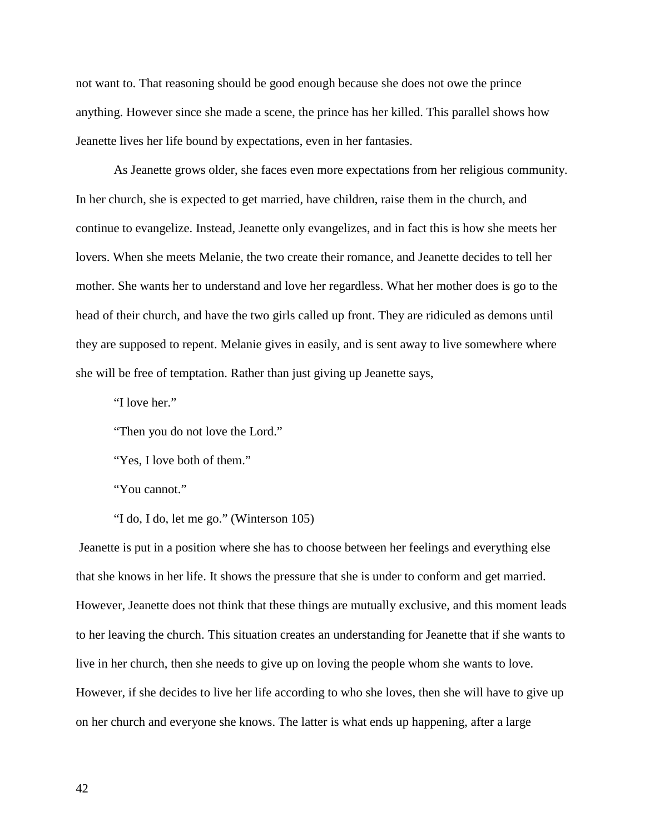not want to. That reasoning should be good enough because she does not owe the prince anything. However since she made a scene, the prince has her killed. This parallel shows how Jeanette lives her life bound by expectations, even in her fantasies.

As Jeanette grows older, she faces even more expectations from her religious community. In her church, she is expected to get married, have children, raise them in the church, and continue to evangelize. Instead, Jeanette only evangelizes, and in fact this is how she meets her lovers. When she meets Melanie, the two create their romance, and Jeanette decides to tell her mother. She wants her to understand and love her regardless. What her mother does is go to the head of their church, and have the two girls called up front. They are ridiculed as demons until they are supposed to repent. Melanie gives in easily, and is sent away to live somewhere where she will be free of temptation. Rather than just giving up Jeanette says,

"I love her."

"Then you do not love the Lord."

"Yes, I love both of them."

"You cannot."

"I do, I do, let me go." (Winterson 105)

Jeanette is put in a position where she has to choose between her feelings and everything else that she knows in her life. It shows the pressure that she is under to conform and get married. However, Jeanette does not think that these things are mutually exclusive, and this moment leads to her leaving the church. This situation creates an understanding for Jeanette that if she wants to live in her church, then she needs to give up on loving the people whom she wants to love. However, if she decides to live her life according to who she loves, then she will have to give up on her church and everyone she knows. The latter is what ends up happening, after a large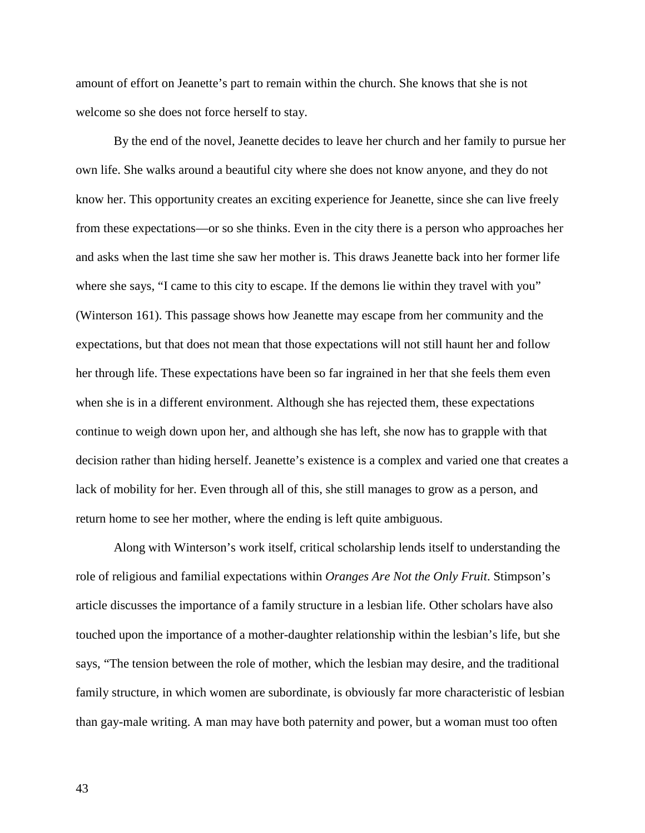amount of effort on Jeanette's part to remain within the church. She knows that she is not welcome so she does not force herself to stay.

By the end of the novel, Jeanette decides to leave her church and her family to pursue her own life. She walks around a beautiful city where she does not know anyone, and they do not know her. This opportunity creates an exciting experience for Jeanette, since she can live freely from these expectations—or so she thinks. Even in the city there is a person who approaches her and asks when the last time she saw her mother is. This draws Jeanette back into her former life where she says, "I came to this city to escape. If the demons lie within they travel with you" (Winterson 161). This passage shows how Jeanette may escape from her community and the expectations, but that does not mean that those expectations will not still haunt her and follow her through life. These expectations have been so far ingrained in her that she feels them even when she is in a different environment. Although she has rejected them, these expectations continue to weigh down upon her, and although she has left, she now has to grapple with that decision rather than hiding herself. Jeanette's existence is a complex and varied one that creates a lack of mobility for her. Even through all of this, she still manages to grow as a person, and return home to see her mother, where the ending is left quite ambiguous.

Along with Winterson's work itself, critical scholarship lends itself to understanding the role of religious and familial expectations within *Oranges Are Not the Only Fruit*. Stimpson's article discusses the importance of a family structure in a lesbian life. Other scholars have also touched upon the importance of a mother-daughter relationship within the lesbian's life, but she says, "The tension between the role of mother, which the lesbian may desire, and the traditional family structure, in which women are subordinate, is obviously far more characteristic of lesbian than gay-male writing. A man may have both paternity and power, but a woman must too often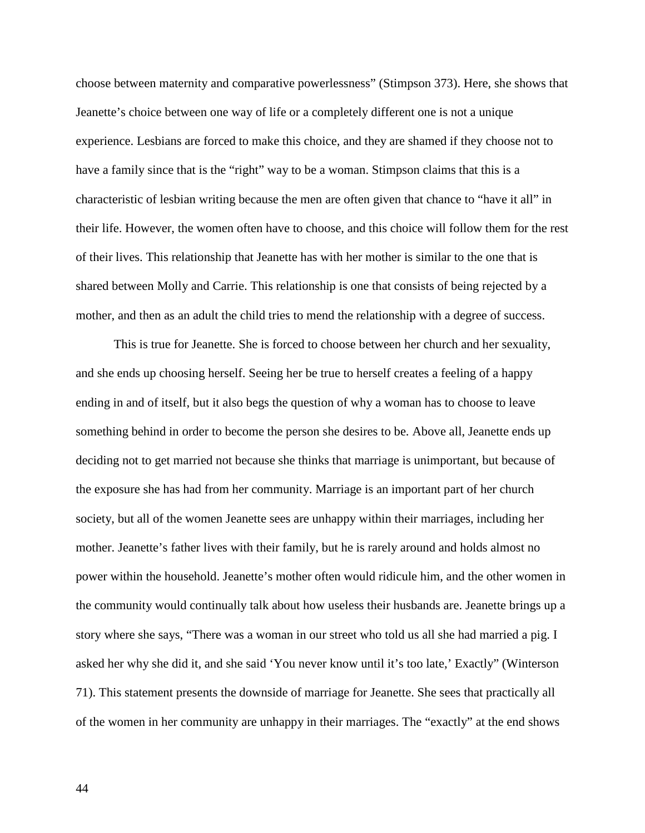choose between maternity and comparative powerlessness" (Stimpson 373). Here, she shows that Jeanette's choice between one way of life or a completely different one is not a unique experience. Lesbians are forced to make this choice, and they are shamed if they choose not to have a family since that is the "right" way to be a woman. Stimpson claims that this is a characteristic of lesbian writing because the men are often given that chance to "have it all" in their life. However, the women often have to choose, and this choice will follow them for the rest of their lives. This relationship that Jeanette has with her mother is similar to the one that is shared between Molly and Carrie. This relationship is one that consists of being rejected by a mother, and then as an adult the child tries to mend the relationship with a degree of success.

This is true for Jeanette. She is forced to choose between her church and her sexuality, and she ends up choosing herself. Seeing her be true to herself creates a feeling of a happy ending in and of itself, but it also begs the question of why a woman has to choose to leave something behind in order to become the person she desires to be. Above all, Jeanette ends up deciding not to get married not because she thinks that marriage is unimportant, but because of the exposure she has had from her community. Marriage is an important part of her church society, but all of the women Jeanette sees are unhappy within their marriages, including her mother. Jeanette's father lives with their family, but he is rarely around and holds almost no power within the household. Jeanette's mother often would ridicule him, and the other women in the community would continually talk about how useless their husbands are. Jeanette brings up a story where she says, "There was a woman in our street who told us all she had married a pig. I asked her why she did it, and she said 'You never know until it's too late,' Exactly" (Winterson 71). This statement presents the downside of marriage for Jeanette. She sees that practically all of the women in her community are unhappy in their marriages. The "exactly" at the end shows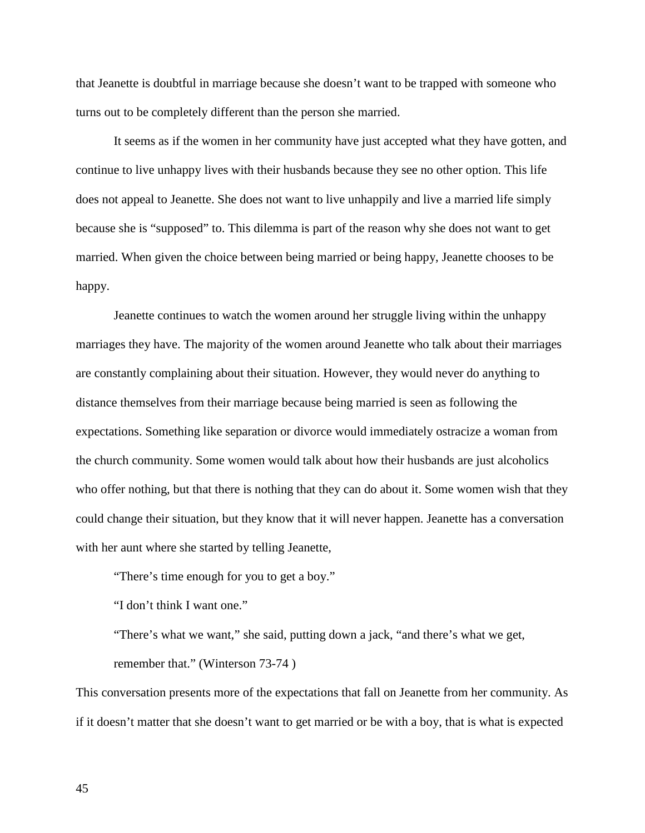that Jeanette is doubtful in marriage because she doesn't want to be trapped with someone who turns out to be completely different than the person she married.

It seems as if the women in her community have just accepted what they have gotten, and continue to live unhappy lives with their husbands because they see no other option. This life does not appeal to Jeanette. She does not want to live unhappily and live a married life simply because she is "supposed" to. This dilemma is part of the reason why she does not want to get married. When given the choice between being married or being happy, Jeanette chooses to be happy.

Jeanette continues to watch the women around her struggle living within the unhappy marriages they have. The majority of the women around Jeanette who talk about their marriages are constantly complaining about their situation. However, they would never do anything to distance themselves from their marriage because being married is seen as following the expectations. Something like separation or divorce would immediately ostracize a woman from the church community. Some women would talk about how their husbands are just alcoholics who offer nothing, but that there is nothing that they can do about it. Some women wish that they could change their situation, but they know that it will never happen. Jeanette has a conversation with her aunt where she started by telling Jeanette,

"There's time enough for you to get a boy."

"I don't think I want one."

"There's what we want," she said, putting down a jack, "and there's what we get, remember that." (Winterson 73-74 )

This conversation presents more of the expectations that fall on Jeanette from her community. As if it doesn't matter that she doesn't want to get married or be with a boy, that is what is expected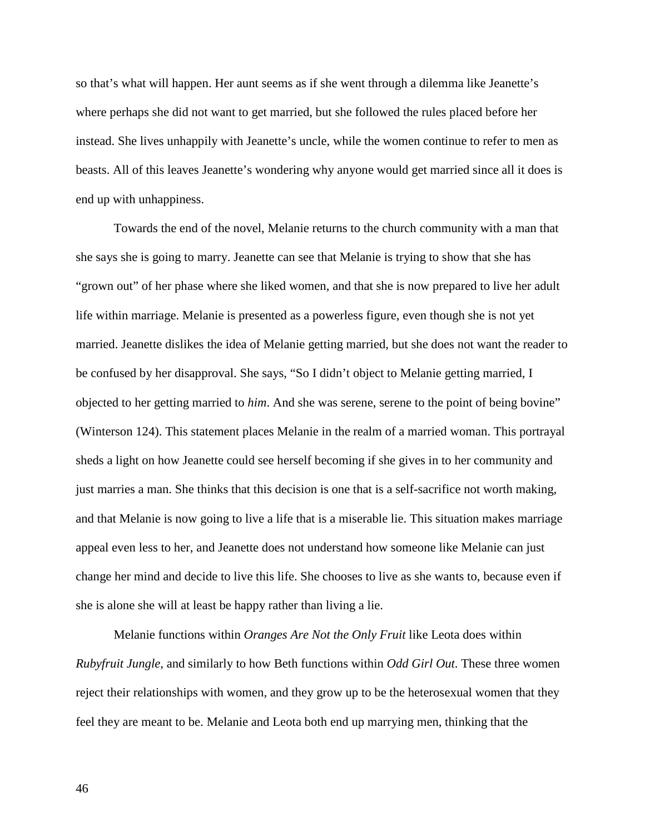so that's what will happen. Her aunt seems as if she went through a dilemma like Jeanette's where perhaps she did not want to get married, but she followed the rules placed before her instead. She lives unhappily with Jeanette's uncle, while the women continue to refer to men as beasts. All of this leaves Jeanette's wondering why anyone would get married since all it does is end up with unhappiness.

Towards the end of the novel, Melanie returns to the church community with a man that she says she is going to marry. Jeanette can see that Melanie is trying to show that she has "grown out" of her phase where she liked women, and that she is now prepared to live her adult life within marriage. Melanie is presented as a powerless figure, even though she is not yet married. Jeanette dislikes the idea of Melanie getting married, but she does not want the reader to be confused by her disapproval. She says, "So I didn't object to Melanie getting married, I objected to her getting married to *him*. And she was serene, serene to the point of being bovine" (Winterson 124). This statement places Melanie in the realm of a married woman. This portrayal sheds a light on how Jeanette could see herself becoming if she gives in to her community and just marries a man. She thinks that this decision is one that is a self-sacrifice not worth making, and that Melanie is now going to live a life that is a miserable lie. This situation makes marriage appeal even less to her, and Jeanette does not understand how someone like Melanie can just change her mind and decide to live this life. She chooses to live as she wants to, because even if she is alone she will at least be happy rather than living a lie.

Melanie functions within *Oranges Are Not the Only Fruit* like Leota does within *Rubyfruit Jungle*, and similarly to how Beth functions within *Odd Girl Out*. These three women reject their relationships with women, and they grow up to be the heterosexual women that they feel they are meant to be. Melanie and Leota both end up marrying men, thinking that the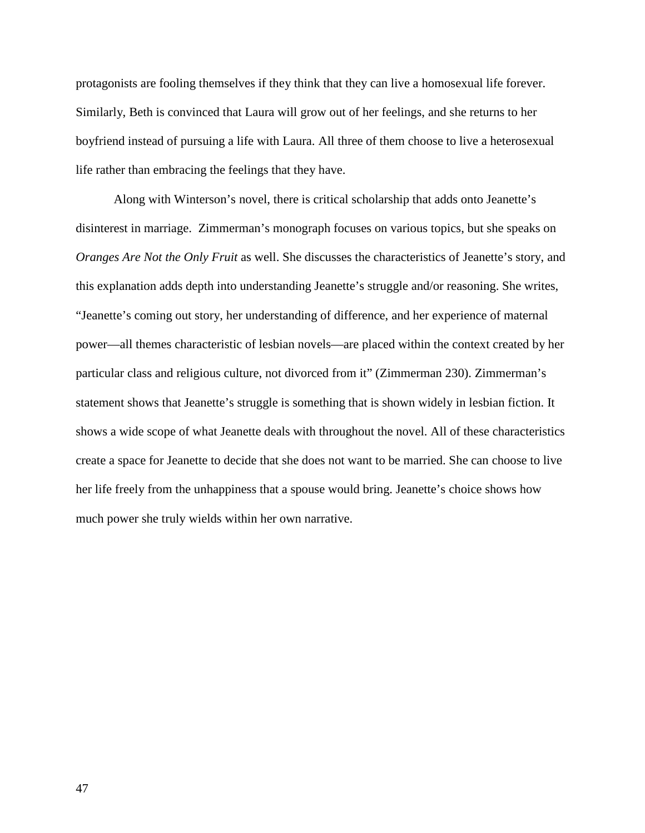protagonists are fooling themselves if they think that they can live a homosexual life forever. Similarly, Beth is convinced that Laura will grow out of her feelings, and she returns to her boyfriend instead of pursuing a life with Laura. All three of them choose to live a heterosexual life rather than embracing the feelings that they have.

Along with Winterson's novel, there is critical scholarship that adds onto Jeanette's disinterest in marriage. Zimmerman's monograph focuses on various topics, but she speaks on *Oranges Are Not the Only Fruit* as well. She discusses the characteristics of Jeanette's story, and this explanation adds depth into understanding Jeanette's struggle and/or reasoning. She writes, "Jeanette's coming out story, her understanding of difference, and her experience of maternal power—all themes characteristic of lesbian novels—are placed within the context created by her particular class and religious culture, not divorced from it" (Zimmerman 230). Zimmerman's statement shows that Jeanette's struggle is something that is shown widely in lesbian fiction. It shows a wide scope of what Jeanette deals with throughout the novel. All of these characteristics create a space for Jeanette to decide that she does not want to be married. She can choose to live her life freely from the unhappiness that a spouse would bring. Jeanette's choice shows how much power she truly wields within her own narrative.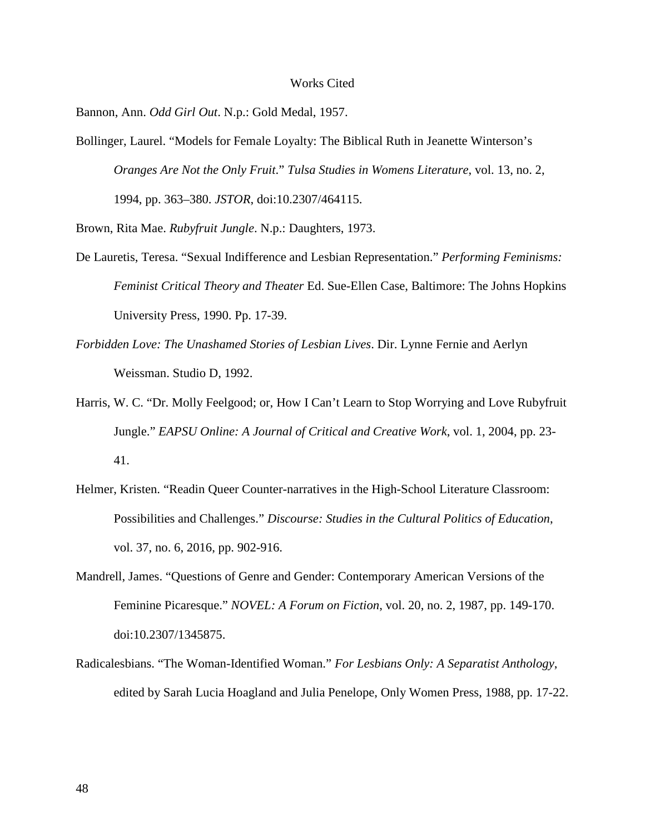#### Works Cited

Bannon, Ann. *Odd Girl Out*. N.p.: Gold Medal, 1957.

Bollinger, Laurel. "Models for Female Loyalty: The Biblical Ruth in Jeanette Winterson's *Oranges Are Not the Only Fruit*." *Tulsa Studies in Womens Literature*, vol. 13, no. 2, 1994, pp. 363–380. *JSTOR*, doi:10.2307/464115.

Brown, Rita Mae. *Rubyfruit Jungle*. N.p.: Daughters, 1973.

- De Lauretis, Teresa. "Sexual Indifference and Lesbian Representation." *Performing Feminisms: Feminist Critical Theory and Theater* Ed. Sue-Ellen Case, Baltimore: The Johns Hopkins University Press, 1990. Pp. 17-39.
- *Forbidden Love: The Unashamed Stories of Lesbian Lives*. Dir. Lynne Fernie and Aerlyn Weissman. Studio D, 1992.
- Harris, W. C. "Dr. Molly Feelgood; or, How I Can't Learn to Stop Worrying and Love Rubyfruit Jungle." *EAPSU Online: A Journal of Critical and Creative Work*, vol. 1, 2004, pp. 23- 41.
- Helmer, Kristen. "Readin Queer Counter-narratives in the High-School Literature Classroom: Possibilities and Challenges." *Discourse: Studies in the Cultural Politics of Education*, vol. 37, no. 6, 2016, pp. 902-916.
- Mandrell, James. "Questions of Genre and Gender: Contemporary American Versions of the Feminine Picaresque." *NOVEL: A Forum on Fiction*, vol. 20, no. 2, 1987, pp. 149-170. doi:10.2307/1345875.
- Radicalesbians. "The Woman-Identified Woman." *For Lesbians Only: A Separatist Anthology*, edited by Sarah Lucia Hoagland and Julia Penelope, Only Women Press, 1988, pp. 17-22.